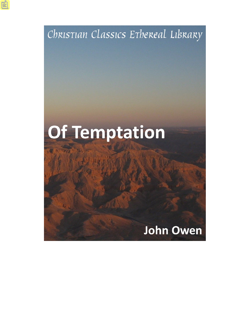## Christian Classics Ethereal Library

# **Of Temptation**

### **John Owen**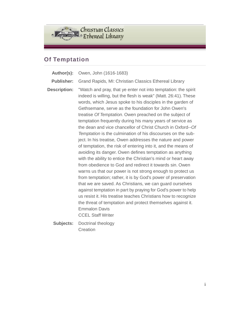

#### **Of Temptation**

- **Author(s):** Owen, John (1616-1683) **Publisher:** Grand Rapids, MI: Christian Classics Ethereal Library **Description:** "Watch and pray, that ye enter not into temptation: the spirit indeed is willing, but the flesh is weak" (Matt. 26:41). These words, which Jesus spoke to his disciples in the garden of Gethsemane, serve as the foundation for John Owen's treatise *Of Temptation*. Owen preached on the subject of temptation frequently during his many years of service as the dean and vice chancellor of Christ Church in Oxford--*Of Temptation* is the culmination of his discourses on the subject. In his treatise, Owen addresses the nature and power of temptation, the risk of entering into it, and the means of avoiding its danger. Owen defines temptation as anything with the ability to entice the Christian's mind or heart away from obedience to God and redirect it towards sin. Owen warns us that our power is not strong enough to protect us from temptation; rather, it is by God's power of preservation that we are saved. As Christians, we can guard ourselves against temptation in part by praying for God's power to help us resist it. His treatise teaches Christians how to recognize the threat of temptation and protect themselves against it. Emmalon Davis CCEL Staff Writer
	- **Subjects:** Doctrinal theology Creation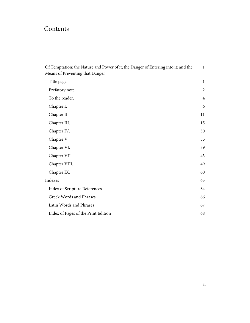#### Contents

| Of Temptation: the Nature and Power of it; the Danger of Entering into it; and the<br>Means of Preventing that Danger | $\mathbf{1}$   |
|-----------------------------------------------------------------------------------------------------------------------|----------------|
| Title page.                                                                                                           | 1              |
| Prefatory note.                                                                                                       | $\overline{2}$ |
| To the reader.                                                                                                        | $\overline{4}$ |
| Chapter I.                                                                                                            | 6              |
| Chapter II.                                                                                                           | 11             |
| Chapter III.                                                                                                          | 15             |
| Chapter IV.                                                                                                           | 30             |
| Chapter V.                                                                                                            | 35             |
| Chapter VI.                                                                                                           | 39             |
| Chapter VII.                                                                                                          | 43             |
| Chapter VIII.                                                                                                         | 49             |
| Chapter IX.                                                                                                           | 60             |
| Indexes                                                                                                               | 63             |
| Index of Scripture References                                                                                         | 64             |
| Greek Words and Phrases                                                                                               | 66             |
| Latin Words and Phrases                                                                                               | 67             |
| Index of Pages of the Print Edition                                                                                   | 68             |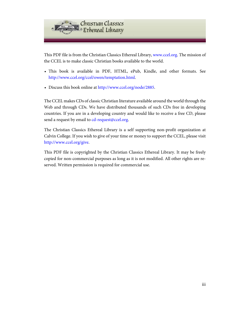

This PDF file is from the Christian Classics Ethereal Library, [www.ccel.org.](http://www.ccel.org) The mission of the CCEL is to make classic Christian books available to the world.

- This book is available in PDF, HTML, ePub, Kindle, and other formats. See <http://www.ccel.org/ccel/owen/temptation.html>.
- Discuss this book online at [http://www.ccel.org/node/2885.](http://www.ccel.org/node/2885)

The CCEL makes CDs of classic Christian literature available around the world through the Web and through CDs. We have distributed thousands of such CDs free in developing countries. If you are in a developing country and would like to receive a free CD, please send a request by email to [cd-request@ccel.org.](mailto:cd-request@ccel.org)

The Christian Classics Ethereal Library is a self supporting non-profit organization at Calvin College. If you wish to give of your time or money to support the CCEL, please visit [http://www.ccel.org/give.](http://www.ccel.org/give)

This PDF file is copyrighted by the Christian Classics Ethereal Library. It may be freely copied for non-commercial purposes as long as it is not modified. All other rights are reserved. Written permission is required for commercial use.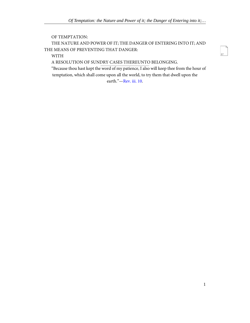OF TEMPTATION:

<span id="page-4-0"></span>THE NATURE AND POWER OF IT; THE DANGER OF ENTERING INTO IT; AND THE MEANS OF PREVENTING THAT DANGER:

WITH

A RESOLUTION OF SUNDRY CASES THEREUNTO BELONGING.

"Because thou hast kept the word of my patience, I also will keep thee from the hour of temptation, which shall come upon all the world, to try them that dwell upon the

earth."-[Rev. iii. 10.](http://www.ccel.org/study/Bible:Rev.3.10)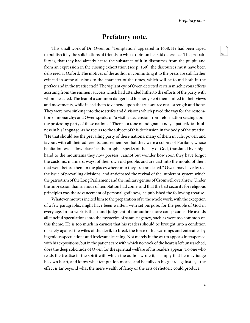8<sub>8</sub>

#### **Prefatory note.**

<span id="page-5-0"></span>This small work of Dr. Owen on "Temptation" appeared in 1658. He had been urged to publish it by the solicitations of friends to whose opinion he paid deference. The probability is, that they had already heard the substance of it in discourses from the pulpit; and from an expression in the closing exhortation (see p. 150), the discourses must have been delivered at Oxford. The motives of the author in committing it to the press are still farther evinced in some allusions to the character of the times, which will be found both in the preface and in the treatise itself. The vigilant eye of Owen detected certain mischievous effects accruing from the eminent success which had attended hitherto the efforts of the party with whom he acted. The fear of a common danger had formerly kept them united in their views and movements, while it lead them to depend upon the true source of all strength and hope. They were now sinking into those strifes and divisions which paved the way for the restoration of monarchy; and Owen speaks of "a visible declension from reformation seizing upon the professing party of these nations." There is a tone of indignant and yet pathetic faithfulness in his language, as he recurs to the subject of this declension in the body of the treatise: "He that should see the prevailing party of these nations, many of them in rule, power, and favour, with all their adherents, and remember that they were a colony of Puritans, whose habitation was a 'low place,' as the prophet speaks of the city of God, translated by a high hand to the mountains they now possess, cannot but wonder how soon they have forgot the customs, manners, ways, of their own old people, and are cast into the mould of them that went before them in the places whereunto they are translated." Owen may have feared the issue of prevailing divisions, and anticipated the revival of the intolerant system which the patriotism of the Long Parliament and the military genius of Cromwell overthrew. Under the impression than an hour of temptation had come, and that the best security for religious principles was the advancement of personal godliness, he published the following treatise.

Whatever motives incited him to the preparation of it, the whole work, with the exception of a few paragraphs, might have been written, with set purpose, for the people of God in every age. In no work is the sound judgment of our author more conspicuous. He avoids all fanciful speculations into the mysteries of satanic agency, such as were too common on this theme. He is too much in earnest that his readers should be brought into a condition of safety against the wiles of the devil, to break the force of his warnings and entreaties by ingenious speculations and irrelevant learning. Not merely in the warm appeals interspersed with his expositions, but in the patient care with which no nook of the heart is left unsearched, does the deep solicitude of Owen for the spiritual welfare of his readers appear. To one who reads the treatise in the spirit with which the author wrote it,—simply that he may judge his own heart, and know what temptation means, and be fully on his guard against it,—the effect is far beyond what the mere wealth of fancy or the arts of rhetoric could produce.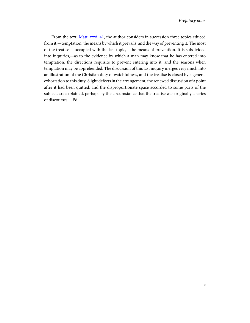From the text, [Matt. xxvi. 41,](http://www.ccel.org/study/Bible:Matt.26.41) the author considers in succession three topics educed from it:—temptation, the means by which it prevails, and the way of preventing it. The most of the treatise is occupied with the last topic,—the means of prevention. It is subdivided into inquiries,—as to the evidence by which a man may know that he has entered into temptation, the directions requisite to prevent entering into it, and the seasons when temptation may be apprehended. The discussion of this last inquiry merges very much into an illustration of the Christian duty of watchfulness, and the treatise is closed by a general exhortation to this duty. Slight defects in the arrangement, the renewed discussion of a point after it had been quitted, and the disproportionate space accorded to some parts of the subject, are explained, perhaps by the circumstance that the treatise was originally a series of discourses.—Ed.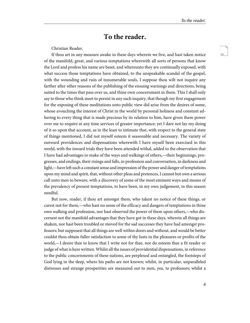#### **To the reader.**

<span id="page-7-0"></span>Christian Reader,

If thou art in any measure awake in these days wherein we live, and hast taken notice of the manifold, great, and various temptations wherewith all sorts of persons that know the Lord and profess his name are beset, and whereunto they are continually exposed, with what success those temptations have obtained, to the unspeakable scandal of the gospel, with the wounding and ruin of innumerable souls, I suppose thou wilt not inquire any farther after other reasons of the publishing of the ensuing warnings and directions, being suited to the times that pass over us, and thine own concernment in them. This I shall only say to those who think meet to persist in any such inquiry, that though my first engagement for the exposing of these meditations unto public view did arise from the desires of some, whose avouching the interest of Christ in the world by personal holiness and constant adhering to every thing that is made precious by its relation to him, have given them power over me to require at any time services of greater importance; yet I dare not lay my doing of it so upon that account, as in the least to intimate that, with respect to the general state of things mentioned, I did not myself esteem it seasonable and necessary. The variety of outward providences and dispensations wherewith I have myself been exercised in this world, with the inward trials they have been attended withal, added to the observation that I have had advantages to make of the ways and walkings of others,—their beginnings, progresses, and endings, their risings and falls, in profession and conversation, in darkness and light,—have left such a constant sense and impression of the power and danger of temptations upon my mind and spirit, that, without other pleas and pretences, I cannot but own a serious call unto men to beware, with a discovery of some of the most eminent ways and means of the prevalency of present temptations, to have been, in my own judgement, in this season needful.

But now, reader, if thou art amongst them, who takest no notice of these things, or carest not for them,—who hast no sense of the efficacy and dangers of temptations in thine own walking and profession, nor hast observed the power of them upon others,—who discernest not the manifold advantages that they have got in these days, wherein all things are shaken, nor hast been troubled or moved for the sad successes they have had amongst professors; but supposest that all things are well within doors and without, and would be better couldst thou obtain fuller satisfaction to some of thy lusts in the pleasures or profits of the world,—I desire thee to know that I write not for thee, nor do esteem thee a fit reader or judge of what is here written. Whilst all the issues of providential dispensations, in reference to the public concernments of these nations, are perplexed and entangled, the footsteps of God lying in the deep, where his paths are not known; whilst, in particular, unparalleled distresses and strange prosperities are measured out to men, yea, to professors; whilst a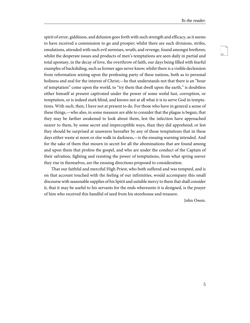spirit of error, giddiness, and delusion goes forth with such strength and efficacy, as it seems to have received a commission to go and prosper; whilst there are such divisions, strifes, emulations, attended with such evil surmises, wrath, and revenge, found amongst brethren; whilst the desperate issues and products of men's temptations are seen daily in partial and total apostasy, in the decay of love, the overthrow of faith, our days being filled with fearful examples of backsliding, such as former ages never knew; whilst there is a visible declension from reformation seizing upon the professing party of these nations, both as to personal holiness and zeal for the interest of Christ;—he that understands not that there is an "hour of temptation" come upon the world, to "try them that dwell upon the earth," is doubtless either himself at present captivated under the power of some woful lust, corruption, or temptation, or is indeed stark blind, and knows not at all what it is to serve God in temptations. With such, then, I have not at present to do. For those who have in general a sense of these things,—who also, in some measure are able to consider that the plague is begun, that they may be farther awakened to look about them, lest the infection have approached nearer to them, by some secret and imperceptible ways, than they did apprehend; or lest they should be surprised at unawares hereafter by any of those temptations that in these days either waste at noon or else walk in darkness,—is the ensuing warning intended. And for the sake of them that mourn in secret for all the abominations that are found among and upon them that profess the gospel, and who are under the conduct of the Captain of their salvation, fighting and resisting the power of temptations, from what spring soever they rise in themselves, are the ensuing directions proposed to consideration.

That our faithful and merciful High Priest, who both suffered and was tempted, and is on that account touched with the feeling of our infirmities, would accompany this small discourse with seasonable supplies of his Spirit and suitable mercy to them that shall consider it, that it may be useful to his servants for the ends whereunto it is designed, is the prayer of him who received this handful of seed from his storehouse and treasure.

John Owen.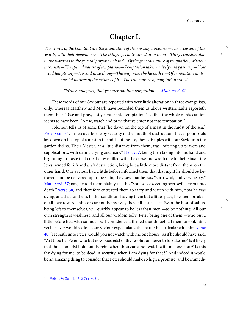92

#### **Chapter I.**

<span id="page-9-0"></span>The words of the text, that are the foundation of the ensuing discourse—The occasion of the words, with their dependence—The things specially aimed at in them—Things considerable in the words as to the general purpose in hand—Of the general nature of temptation, wherein it consists—The special nature of temptation—Temptation taken actively and passively—How God tempts any—His end in so doing—The way whereby he doth it—Of temptation in its special nature; of the actions of it—The true nature of temptation stated.

"Watch and pray, that ye enter not into temptation."—[Matt. xxvi. 41](http://www.ccel.org/study/Bible:Matt.26.41)

These words of our Saviour are repeated with very little alteration in three evangelists; only, whereas Matthew and Mark have recorded them as above written, Luke reporteth them thus: "Rise and pray, lest ye enter into temptation;" so that the whole of his caution seems to have been, "Arise, watch and pray, that ye enter not into temptation."

Solomon tells us of some that "lie down on the top of a mast in the midst of the sea," [Prov. xxiii. 34,](http://www.ccel.org/study/Bible:Prov.23.34)—men overborne by security in the mouth of destruction. If ever poor souls lay down on the top of a mast in the midst of the sea, these disciples with our Saviour in the garden did so. Their Master, at a little distance from them, was "offering up prayers and supplications, with strong crying and tears," [Heb. v. 7,](http://www.ccel.org/study/Bible:Heb.5.7) being then taking into his hand and beginning to  $^{\rm l}$ taste that cup that was filled with the curse and wrath due to their sins;—the Jews, armed for his and their destruction, being but a little more distant from them, on the other hand. Our Saviour had a little before informed them that that night he should be betrayed, and be delivered up to be slain; they saw that he was "sorrowful, and very heavy," [Matt. xxvi. 37](http://www.ccel.org/study/Bible:Matt.26.37); nay, he told them plainly that his "soul was exceeding sorrowful, even unto death," [verse 38](http://www.ccel.org/study/), and therefore entreated them to tarry and watch with him, now he was dying, and that for them. In this condition, leaving them but a little space, like men forsaken of all love towards him or care of themselves, they fall fast asleep! Even the best of saints, being left to themselves, will quickly appear to be less than men,—to be nothing. All our own strength is weakness, and all our wisdom folly. Peter being one of them,—who but a little before had with so much self-confidence affirmed that though all men forsook him, yet he never would so do,—our Saviour expostulates the matter in particular with him: [verse](http://www.ccel.org/study/) [40,](http://www.ccel.org/study/) "He saith unto Peter, Could you not watch with me one hour?" as if he should have said, "Art thou he, Peter, who but now boastedst of thy resolution never to forsake me? Is it likely that thou shouldst hold out therein, when thou canst not watch with me one hour? Is this thy dying for me, to be dead in security, when I am dying for thee?" And indeed it would be an amazing thing to consider that Peter should make so high a promise, and be immedi-

<sup>1</sup> [Heb. ii. 9;](http://www.ccel.org/study/Bible:Heb.2.9) [Gal. iii. 13;](http://www.ccel.org/study/Bible:Gal.3.13) [2 Cor. v. 21](http://www.ccel.org/study/Bible:2Cor.5.21).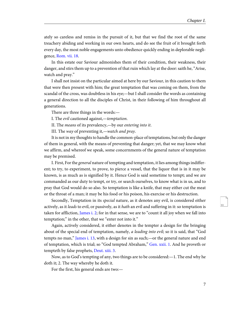ately so careless and remiss in the pursuit of it, but that we find the root of the same treachery abiding and working in our own hearts, and do see the fruit of it brought forth every day, the most noble engagements unto obedience quickly ending in deplorable negligence, [Rom. vii. 18](http://www.ccel.org/study/Bible:Rom.7.18).

In this estate our Saviour admonishes them of their condition, their weakness, their danger, and stirs them up to a prevention of that ruin which lay at the door: saith he, "Arise, watch and pray."

I shall not insist on the particular aimed at here by our Saviour, in this caution to them that were then present with him; the great temptation that was coming on them, from the scandal of the cross, was doubtless in his eye;—but I shall consider the words as containing a general direction to all the disciples of Christ, in their following of him throughout all generations.

There are three things in the words:—

I. The evil cautioned against,—temptation.

II. The means of its prevalency,—by our entering into it.

III. The way of preventing it,—watch and pray.

It is not in my thoughts to handle the common-place of temptations, but only the danger of them in general, with the means of preventing that danger; yet, that we may know what we affirm, and whereof we speak, some concernments of the general nature of temptation may be premised.

I. First, For the general nature of tempting and temptation, it lies among things indifferent; to try, to experiment, to prove, to pierce a vessel, that the liquor that is in it may be known, is as much as is signified by it. Hence God is said sometime to tempt; and we are commanded as our duty to tempt, or try, or search ourselves, to know what is in us, and to pray that God would do so also. So temptation is like a knife, that may either cut the meat or the throat of a man; it may be his food or his poison, his exercise or his destruction.

Secondly, Temptation in its special nature, as it denotes any evil, is considered either actively, as it leads to evil, or passively, as it hath an evil and suffering in it: so temptation is taken for affliction, [James i. 2;](http://www.ccel.org/study/Bible:Jas.1.2) for in that sense, we are to "count it all joy when we fall into temptation;" in the other, that we "enter not into it."

Again, actively considered, it either denotes in the tempter a design for the bringing about of the special end of temptation, namely, a leading into evil; so it is said, that "God tempts no man," [James i. 13,](http://www.ccel.org/study/Bible:Jas.1.13) with a design for sin as such;- or the general nature and end of temptation, which is trial; so "God tempted Abraham," [Gen. xxii. 1](http://www.ccel.org/study/Bible:Gen.22.1). And he proveth or tempteth by false prophets, [Deut. xiii. 3](http://www.ccel.org/study/Bible:Deut.13.3).

Now, as to God's tempting of any, two things are to be considered:—1. The end why he doth it; 2. The way whereby he doth it.

For the first, his general ends are two:—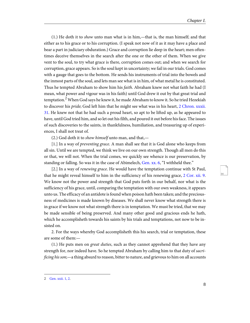(1.) He doth it to show unto man what is in him,—that is, the man himself; and that either as to his grace or to his corruption. (I speak not now of it as it may have a place and bear a part in judiciary obduration.) Grace and corruption lie deep in the heart; men oftentimes deceive themselves in the search after the one or the other of them. When we give vent to the soul, to try what grace is there, corruption comes out; and when we search for corruption, grace appears. So is the soul kept in uncertainty; we fail in our trials. God comes with a gauge that goes to the bottom. He sends his instruments of trial into the bowels and the inmost parts of the soul, and lets man see what is in him, of what metal he is constituted. Thus he tempted Abraham to show him his *faith*. Abraham knew not what faith he had (I mean, what power and vigour was in his faith) until God drew it out by that great trial and temptation.<sup>2</sup> When God says he knew it, he made Abraham to know it. So he tried Hezekiah to discover his *pride*; God left him that he might see what was in his heart, [2 Chron. xxxii.](http://www.ccel.org/study/Bible:2Chr.32.31) [31.](http://www.ccel.org/study/Bible:2Chr.32.31) He knew not that he had such a proud heart, so apt to be lifted up, as he appeared to have, until God tried him, and so let out his filth, and poured it out before his face. The issues of such discoveries to the saints, in thankfulness, humiliation, and treasuring up of experiences, I shall not treat of.

(2.) God doth it to show himself unto man, and that,—

[1.] In a way of preventing grace. A man shall see that it is God alone who keeps from all sin. Until we are tempted, we think we live on our own strength. Though all men do this or that, we will not. When the trial comes, we quickly see whence is our preservation, by standing or falling. So was it in the case of Abimelech, [Gen. xx. 6,](http://www.ccel.org/study/Bible:Gen.20.6) "I withheld thee."

[2.] In a way of renewing grace. He would have the temptation continue with St Paul, that he might reveal himself to him in the sufficiency of his renewing grace, [2 Cor. xii. 9.](http://www.ccel.org/study/Bible:2Cor.12.9) We know not the power and strength that God puts forth in our behalf, nor what is the sufficiency of his grace, until, comparing the temptation with our own weakness, it appears unto us. The efficacy of an antidote is found when poison hath been taken; and the preciousness of medicines is made known by diseases. We shall never know what strength there is in grace if we know not what strength there is in temptation. We must be tried, that we may be made sensible of being preserved. And many other good and gracious ends he hath, which he accomplisheth towards his saints by his trials and temptations, not now to be insisted on.

2. For the ways whereby God accomplisheth this his search, trial or temptation, these are some of them:—

(1.) He puts men on great duties, such as they cannot apprehend that they have any strength for, nor indeed have. So he tempted Abraham by calling him to that duty of *sacri*ficing his son;—a thing absurd to reason, bitter to nature, and grievous to him on all accounts

<sup>2</sup> [Gen. xxii. 1, 2.](http://www.ccel.org/study/Bible:Gen.22.1-Gen.22.2)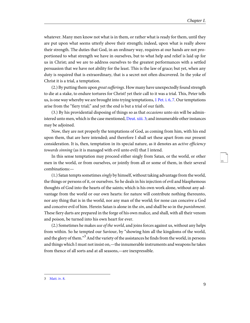whatever. Many men know not what is in them, or rather what is ready for them, until they are put upon what seems utterly above their strength; indeed, upon what is really above their strength. The duties that God, in an ordinary way, requires at our hands are not proportioned to what strength we have in ourselves, but to what help and relief is laid up for us in Christ; and we are to address ourselves to the greatest performances with a settled persuasion that we have not ability for the least. This is the law of grace; but yet, when any duty is required that is extraordinary, that is a secret not often discovered. In the yoke of Christ it is a trial, a temptation.

(2.) By putting them upon great sufferings. How many have unexpectedly found strength to die at a stake, to endure tortures for Christ! yet their call to it was a trial. This, Peter tells us, is one way whereby we are brought into trying temptations, [1 Pet. i. 6, 7](http://www.ccel.org/study/Bible:1Pet.1.6-1Pet.1.7). Our temptations arise from the "fiery trial;" and yet the end is but a trial of our faith.

(3.) By his providential disposing of things so as that occasions unto sin will be administered unto men, which is the case mentioned, [Deut. xiii. 3;](http://www.ccel.org/study/Bible:Deut.13.3) and innumerable other instances may be adjoined.

Now, they are not properly the temptations of God, as coming from him, with his end upon them, that are here intended; and therefore I shall set these apart from our present consideration. It is, then, temptation in its special nature, as it denotes an *active efficiency* towards sinning (as it is managed with evil unto evil) that I intend.

In this sense temptation may proceed either singly from Satan, or the world, or other men in the world, or from ourselves, or jointly from all or some of them, in their several combinations:—

 $(1.)$  Satan tempts sometimes *singly* by himself, without taking advantage from the world, the things or persons of it, or ourselves. So he deals in his injection of evil and blasphemous thoughts of God into the hearts of the saints; which is his own work alone, without any advantage from the world or our own hearts: for nature will contribute nothing thereunto, nor any thing that is in the world, nor any man of the world; for none can conceive a God and conceive evil of him. Herein Satan is alone in the *sin*, and shall be so in the *punishment*. These fiery darts are prepared in the forge of his own malice, and shall, with all their venom and poison, be turned into his own heart for ever.

 $(2.)$  Sometimes he makes *use of the world*, and joins forces against us, without any helps from within. So he tempted our Saviour, by "showing him all the kingdoms of the world, and the glory of them."<sup>3</sup> And the variety of the assistances he finds from the world, in persons and things which I must not insist on,—the innumerable instruments and weapons he takes from thence of all sorts and at all seasons,—are inexpressible.

<sup>3</sup> [Matt. iv. 8.](http://www.ccel.org/study/Bible:Matt.4.8)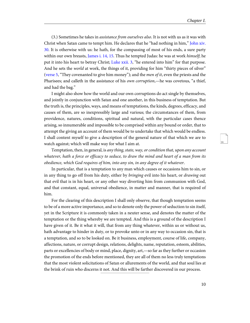(3.) Sometimes he takes in assistance from ourselves also. It is not with us as it was with Christ when Satan came to tempt him. He declares that he "had nothing in him," [John xiv.](http://www.ccel.org/study/Bible:John.14.30) [30.](http://www.ccel.org/study/Bible:John.14.30) It is otherwise with us: he hath, for the compassing of most of his ends, a sure party within our own breasts, [James i. 14, 15.](http://www.ccel.org/study/Bible:Jas.1.14-Jas.1.15) Thus he tempted Judas: he was at work himself; he put it into his heart to betray Christ; [Luke xxii. 3](http://www.ccel.org/study/Bible:Luke.22.3), "he entered into him" for that purpose. And he sets the *world* at work, the things of it, providing for him "thirty pieces of silver" ([verse 5,](http://www.ccel.org/study/) "They covenanted to give him money"); and the *men of it*, even the priests and the Pharisees; and calleth in the assistance of his *own corruption*,—he was covetous, "a thief, and had the bag."

I might also show how the world and our own corruptions do act single by themselves, and jointly in conjunction with Satan and one another, in this business of temptation. But the truth is, the principles, ways, and means of temptations, the kinds, degrees, efficacy, and causes of them, are so inexpressibly large and various; the circumstances of them, from providence, natures, conditions, spiritual and natural, with the particular cases thence arising, so innumerable and impossible to be comprised within any bound or order, that to attempt the giving an account of them would be to undertake that which would be endless. I shall content myself to give a description of the general nature of that which we are to watch against; which will make way for what I aim at.

Temptation, then, in general, is any thing, state, way, or condition that, upon any account whatever, hath a force or efficacy to seduce, to draw the mind and heart of a man from its obedience, which God requires of him, into any sin, in any degree of it whatever.

In particular, that is a temptation to any man which causes or occasions him to sin, or in any thing to go off from his duty, either by *bringing* evil into his heart, or *drawing* out that evil that is in his heart, or any other way diverting him from communion with God, and that constant, equal, universal obedience, in matter and manner, that is required of him.

For the clearing of this description I shall only observe, that though temptation seems to be of a more active importance, and so to denote only the power of seduction to sin itself, yet in the Scripture it is commonly taken in a neuter sense, and denotes the matter of the temptation or the thing whereby we are tempted. And this is a ground of the description I have given of it. Be it what it will, that from any thing whatever, within us or without us, hath advantage to hinder in duty, or to provoke unto or in any way to occasion sin, that is a temptation, and so to be looked on. Be it business, employment, course of life, company, affections, nature, or corrupt design, relations, delights, name, reputation, esteem, abilities, parts or excellencies of body or mind, place, dignity, art,—so far as they further or occasion the promotion of the ends before mentioned, they are all of them no less truly temptations that the most violent solicitations of Satan or allurements of the world, and that soul lies at the brink of ruin who discerns it not. And this will be farther discovered in our process.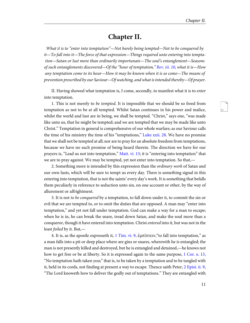#### **Chapter II.**

<span id="page-14-0"></span>What it is to "enter into temptation"—Not barely being tempted—Not to be conquered by it—To fall into it—The force of that expression—Things required unto entering into temptation—Satan or lust more than ordinarily importunate—The soul's entanglement—Seasons of such entanglements discovered—Of the "hour of temptation," [Rev. iii. 10,](http://www.ccel.org/study/Bible:Rev.3.10) what it is—How any temptation come to its hour—How it may be known when it is so come—The means of prevention prescribed by our Saviour—Of watching, and what is intended thereby—Of prayer.

II. Having showed what temptation is, I come, secondly, to manifest what it is to enter into temptation.

1. This is not merely to be tempted. It is impossible that we should be so freed from temptation as not to be at all tempted. Whilst Satan continues in his power and malice, whilst the world and lust are in being, we shall be tempted. "Christ," says one, "was made like unto us, that he might be tempted; and we are tempted that we may be made like unto Christ." Temptation in general is comprehensive of our whole warfare; as our Saviour calls the time of his ministry the time of his "temptations," [Luke xxii. 28](http://www.ccel.org/study/Bible:Luke.22.28). We have no promise that we shall not be tempted at all; nor are to pray for an absolute freedom from temptations, because we have no such promise of being heard therein. The direction we have for our prayers is, "Lead us not into temptation," [Matt. vi. 13;](http://www.ccel.org/study/Bible:Matt.6.13) it is "entering into temptation" that we are to pray against. We may be tempted, yet not enter into temptation. So that,—

2. Something more is intended by this expression than the *ordinary work* of Satan and our own lusts, which will be sure to tempt us every day. There is something signal in this entering into temptation, that is not the saints' every day's work. It is something that befalls them peculiarly in reference to seduction unto sin, on one account or other, by the way of allurement or affrightment.

3. It is not to be conquered by a temptation, to fall down under it, to commit the sin or evil that we are tempted to, or to omit the duties that are opposed. A man may "enter into temptation," and yet not fall under temptation. God can make a way for a man to escape; when he is in, he can break the snare, tread down Satan, and make the soul more than a conqueror, though it have entered into temptation. Christ entered into it, but was not in the least foiled by it. But,—

4. It is, as the apostle expresseth it, [1 Tim. vi. 9](http://www.ccel.org/study/Bible:1Tim.6.9), ἐμπίπτειν,"to fall into temptation," as a man falls into a pit or deep place where are gins or snares, wherewith he is entangled; the man is not presently killed and destroyed, but he is entangled and detained,—he knows not how to get free or be at liberty. So it is expressed again to the same purpose, [1 Cor. x. 13,](http://www.ccel.org/study/Bible:1Cor.10.13) "No temptation hath taken you;" that is, to be taken by a temptation and to be tangled with it, held in its cords, not finding at present a way to escape. Thence saith Peter, [2 Epist. ii. 9,](http://www.ccel.org/study/) "The Lord knoweth how to deliver the godly out of temptations." They are entangled with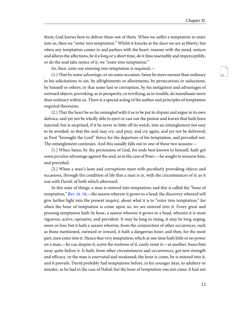them; God knows how to deliver them out of them. When we suffer a temptation to enter into us, then we "enter into temptation." Whilst it knocks at the door we are at liberty; but when any temptation comes in and parleys with the heart, reasons with the mind, entices and allures the affections, be it a long or a short time, do it thus insensibly and imperceptibly, or do the soul take notice of it, we "enter into temptation."

So, then, unto our entering into temptation is required,—

(1.) That by some advantage, or on some occasion, Satan be more earnest than ordinary in his solicitations to sin, by affrightments or allurements, by persecutions or seductions, by himself or others; or that some lust or corruption, by his instigation and advantages of outward objects, provoking, as in prosperity, or terrifying, as in trouble, do tumultuate more than ordinary within us. There is a special acting of the author and principles of temptation required thereunto.

(2.) That the heart be so far entangled with it as to be put to dispute and argue in its own defence, and yet not be wholly able to eject or cast out the poison and leaven that hath been injected; but is surprised, if it be never so little off its watch, into an entanglement not easy to be avoided: so that the soul may cry, and pray, and cry again, and yet not be delivered; as Paul "besought the Lord" thrice for the departure of his temptation, and prevailed not. The entanglement continues. And this usually falls out in one of these two seasons:—

[1.] When Satan, by the permission of God, for ends best known to himself, hath got some *peculiar* advantage against the soul; as in the case of Peter,—he sought to winnow him, and prevailed.

[2.] When a man's lusts and corruptions meet with peculiarly provoking objects and occasions, through the condition of life that a man is in, with the circumstances of it; as it was with David: of both which afterward.

In this state of things, a man is entered into temptation; and this is called the "hour of temptation," [Rev. iii. 10](http://www.ccel.org/study/Bible:Rev.3.10),—the season wherein it grows to a head: the discovery whereof will give farther light into the present inquiry, about what it is to "enter into temptation;" for when the hour of temptation is come upon us, we are entered into it. Every great and pressing temptation hath its hour, a season wherein it grows to a head, wherein it is most vigorous, active, operative, and prevalent. It may be long in rising, it may be long urging, more or less; but it hath a season wherein, from the conjunction of other occurences, such as those mentioned, outward or inward, it hath a dangerous hour; and then, for the most part, men enter into it. Hence that very temptation, which at one time hath little or no power on a man,—he can despise it, scorn the motions of it, easily resist it,—at another, bears him away quite before it. It hath, from other circumstances and occurrences, got new strength and efficacy, or the man is enervated and weakened; the hour is come, he is entered into it, and it prevails. David probably had temptations before, in his younger days, to adultery or murder, as he had in the case of Nabal; but the hour of temptation was not come, it had not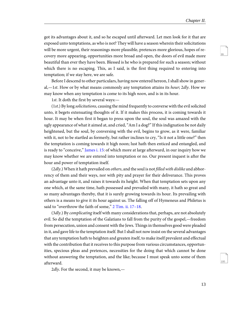got its advantages about it, and so he escaped until afterward. Let men look for it that are exposed unto temptations, as who is not? They will have a season wherein their solicitations will be more urgent, their reasonings more plausible, pretences more glorious, hopes of recovery more appearing, opportunities more broad and open, the doors of evil made more beautiful than ever they have been. Blessed is he who is prepared for such a season; without which there is no escaping. This, as I said, is the first thing required to entering into temptation; if we stay here, we are safe.

Before I descend to other particulars, having now entered hereon, I shall show in general,—1st. How or by what means commonly any temptation attains its hour; 2dly. How we may know when any temptation is come to its high *noon*, and is in its hour.

1st. It doth the first by several ways:—

(1st.) By long solicitations, causing the mind frequently to converse with the evil solicited unto, it begets extenuating thoughts of it. If it makes this process, it is coming towards it hour. It may be when first it began to press upon the soul, the soul was amazed with the ugly appearance of what it aimed at, and cried, "Am I a dog?" If this indignation be not daily heightened, but the soul, by conversing with the evil, begins to grow, as it were, familiar with it, not to be startled as formerly, but rather inclines to cry, "Is it not a little one?" then the temptation is coming towards it high noon; lust hath then enticed and entangled, and is ready to "conceive," [James i. 15](http://www.ccel.org/study/Bible:Jas.1.15): of which more at large afterward, in our inquiry how we may know whether we are entered into temptation or no. Our present inquest is after the hour and power of temptation itself.

(2dly.) When it hath prevailed on *others*, and the soul is not *filled with dislike* and abhorrency of them and their ways, nor with pity and prayer for their deliverance. This proves an advantage unto it, and raises it towards its height. When that temptation sets upon any one which, at the same time, hath possessed and prevailed with many, it hath so great and so many advantages thereby, that it is surely growing towards its hour. Its prevailing with others is a means to give it its hour against us. The falling off of Hymeneus and Philetus is said to "overthrow the faith of some," [2 Tim. ii. 17–18.](http://www.ccel.org/study/Bible:2Tim.2.17-2Tim.2.18)

(3dly.) By complicating itself with many considerations that, perhaps, are not absolutely evil. So did the temptation of the Galatians to fall from the purity of the gospel,—freedom from persecution, union and consent with the Jews. Things in themselves good were pleaded in it, and gave life to the temptation itself. But I shall not now insist on the several advantages that any temptation hath to heighten and greaten itself, to make itself prevalent and effectual with the contribution that it receives to this purpose from various circumstances, opportunities, specious pleas and pretences, necessities for the doing that which cannot be done without answering the temptation, and the like; because I must speak unto some of them afterward.

2*dly*. For the second, it may be known,—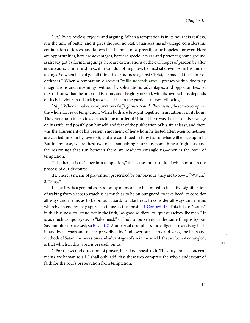(1st.) By its restless *urgency* and arguing. When a temptation is in its hour it is restless; it is the time of battle, and it gives the soul no rest. Satan sees his advantage, considers his conjunction of forces, and knows that he must now prevail, or be hopeless for ever. Here are opportunities, here are advantages, here are specious pleas and pretences; some ground is already got by former arguings; here are extenuations of the evil, hopes of pardon by after endeavours, all in a readiness: if he can do nothing now, he must sit down lost in his undertakings. So when he had got all things in a readiness against Christ, he made it the "hour of darkness." When a temptation discovers "mille nocendi artes," presses within doors by imaginations and reasonings, without by solicitations, advantages, and opportunities, let the soul know that the hour of it is come, and the glory of God, with its own welfare, depends on its behaviour in this trial; as we shall see in the particular cases following.

(2dly.) When it makes a conjunction of affrightments and allurements, these two comprise the whole forces of temptation. When both are brought together, temptation is in its hour. They were both in David's case as to the murder of Uriah. There was the fear of his revenge on his wife, and possibly on himself, and fear of the publication of his sin at least; and there was the allurement of his present enjoyment of her whom he lusted after. Men sometimes are carried into sin by love to it, and are continued in it by fear of what will ensue upon it. But in any case, where these two meet, something allures us, something affrights us, and the reasonings that run between them are ready to entangle us,—then is the hour of temptation.

This, then, it is to "enter into temptation," this is the "hour" of it; of which more in the process of our discourse.

III. There is means of prevention prescribed by our Saviour; they are two:—1. "Watch;" 2. "Pray."

1. The first is a general expression by no means to be limited to its native signification of waking from sleep; to watch is as much as to be on our guard, to take heed, to consider all ways and means as to be on our guard, to take heed, to consider all ways and means whereby an enemy may approach to us: so the apostle, [1 Cor. xvi. 13.](http://www.ccel.org/study/Bible:1Cor.16.13) This it is to "watch" in this business, to "stand fast in the faith," as good soldiers, to "quit ourselves like men." It is as much as προσέχειν, to "take heed," or look to ourselves, as the same thing is by our Saviour often expressed; so [Rev. iii. 2.](http://www.ccel.org/study/Bible:Rev.3.2) A universal carefulness and diligence, exercising itself in and by all ways and means prescribed by God, over our hearts and ways, the baits and methods of Satan, the occasions and advantages of sin in the world, that we be not entangled, is that which in this word is presseth on us.

2. For the second direction, of prayer, I need not speak to it. The duty and its concernments are known to all. I shall only add, that these two comprise the whole endeavour of faith for the soul's preservation from temptation.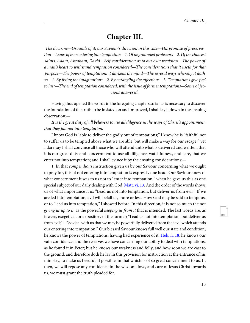#### **Chapter III.**

<span id="page-18-0"></span>The doctrine—Grounds of it; our Saviour's direction in this case—His promise of preservation—Issues of men entering into temptation—1. Of ungrounded professors—2. Of the choicest saints, Adam, Abraham, David—Self-consideration as to our own weakness—The power of a man's heart to withstand temptation considered—The considerations that it useth for that purpose—The power of temptation; it darkens the mind—The several ways whereby it doth  $so-1$ . By fixing the imaginations—2. By entangling the affections—3. Temptations give fuel to lust—The end of temptation considered, with the issue of former temptations—Some objections answered.

Having thus opened the words in the foregoing chapters so far as is necessary to discover the foundation of the truth to be insisted on and improved, I shall lay it down in the ensuing observation:—

It is the great duty of all believers to use all diligence in the ways of Christ's appointment, that they fall not into temptation.

I know God is "able to deliver the godly out of temptations;" I know he is "faithful not to suffer us to be tempted above what we are able, but will make a way for our escape:" yet I dare say I shall convince all those who will attend unto what is delivered and written, that it is our great duty and concernment to use all diligence, watchfulness, and care, that we enter not into temptation; and I shall evince it by the ensuing considerations:—

1. In that compendious instruction given us by our Saviour concerning what we ought to pray for, this of not entering into temptation is expressly one head. Our Saviour knew of what concernment it was to us not to "enter into temptation," when he gave us this as one special subject of our daily dealing with God, [Matt. vi. 13](http://www.ccel.org/study/Bible:Matt.6.13). And the order of the words shows us of what importance it is: "Lead us not into temptation, but deliver us from evil." If we are led into temptation, evil will befall us, more or less. How God may be said to tempt us, or to "lead us into temptation," I showed before. In this direction, it is not so much the not *giving us up to it,* as the powerful *keeping us from it* that is intended. The last words are, as it were, exegetical, or expository of the former: "Lead us not into temptation, but deliver us from evil;"—"So deal with us that we may be powerfully delivered from that evil which attends our entering into temptation." Our blessed Saviour knows full well our state and condition; he knows the power of temptations, having had experience of it, [Heb. ii. 18;](http://www.ccel.org/study/Bible:Heb.2.18) he knows our vain confidence, and the reserves we have concerning our ability to deal with temptations, as he found it in Peter; but he knows our weakness and folly, and how soon we are cast to the ground, and therefore doth he lay in this provision for instruction at the entrance of his ministry, to make us heedful, if possible, in that which is of so great concernment to us. If, then, we will repose any confidence in the wisdom, love, and care of Jesus Christ towards us, we must grant the truth pleaded for.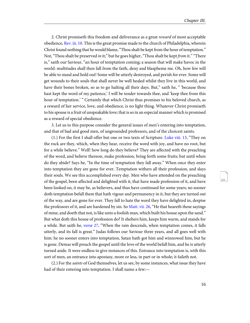2. Christ promiseth this freedom and deliverance as a great *reward* of most acceptable obedience, [Rev. iii. 10](http://www.ccel.org/study/Bible:Rev.3.10). This is the great promise made to the church of Philadelphia, wherein Christ found nothing that he would blame, "Thou shalt be kept from the hour of temptation." Not, "Thou shalt be preserved in it;" but he goes higher, "Thou shalt be kept from it." "There is," saith our Saviour, "an hour of temptation coming; a season that will make havoc in the world: multitudes shall then fall from the faith, deny and blaspheme me. Oh, how few will be able to stand and hold out! Some will be utterly destroyed, and perish for ever. Some will get wounds to their souls that shall never be well healed whilst they live in this world, and have their bones broken, so as to go halting all their days. But," saith he, " 'because thou hast kept the word of my patience,' I will be tender towards thee, and 'keep thee from this hour of temptation.' " Certainly that which Christ thus promises to his beloved church, as a reward of her service, love, and obedience, is no light thing. Whatever Christ promiseth to his spouse is a fruit of unspeakable love; that is so in an especial manner which is promised as a reward of special obedience.

3. Let us to this purpose consider the general issues of men's entering into temptation, and that of bad and good men, of ungrounded professors, and of the choicest saints.

(1.) For the first I shall offer but one or two texts of Scripture. [Luke viii. 13](http://www.ccel.org/study/Bible:Luke.8.13), "They on the rock are they, which, when they hear, receive the word with joy, and have no root, but for a while believe." Well! how long do they believe? They are affected with the preaching of the word, and believe thereon, make profession, bring forth some fruits; but until when do they abide? Says he, "In the time of temptation they fall away." When once they enter into temptation they are gone for ever. Temptation withers all their profession, and slays their souls. We see this accomplished every day. Men who have attended on the preaching of the gospel, been affected and delighted with it, that have made profession of it, and have been looked on, it may be, as believers, and thus have continued for some years; no sooner doth temptation befall them that hath vigour and permanency in it, but they are turned out of the way, and are gone for ever. They fall to hate the word they have delighted in, despise the professors of it, and are hardened by sin. So [Matt. vii. 26,](http://www.ccel.org/study/Bible:Matt.7.26) "He that heareth these sayings of mine, and doeth that not, is like unto a foolish man, which built his house upon the sand." But what doth this house of profession do? It shelters him, keeps him warm, and stands for a while. But saith he, [verse 27,](http://www.ccel.org/study/) "When the rain descends, when temptation comes, it falls utterly, and its fall is great." Judas follows our Saviour three years, and all goes well with him: he no sooner enters into temptation, Satan hath got him and winnowed him, but he is gone. Demas will preach the gospel until the love of the world befall him, and he is utterly turned aside. It were endless to give instances of this. Entrance into temptation is, with this sort of men, an entrance into apostasy, more or less, in part or in whole; it faileth not.

(2.) For the saints of God themselves, let us see, by some instances, what issue they have had of their entering into temptation. I shall name a few:—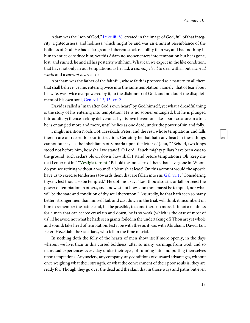Adam was the "son of God," [Luke iii. 38](http://www.ccel.org/study/Bible:Luke.3.38), created in the image of God, full of that integrity, righteousness, and holiness, which might be and was an eminent resemblance of the holiness of God. He had a far greater inherent stock of ability than we, and had nothing in him to entice or seduce him; yet this Adam no sooner enters into temptation but he is gone, lost, and ruined, he and all his posterity with him. What can we expect in the like condition, that have not only in our temptations, as he had, a *cunning devil* to deal withal, but a *cursed* world and a corrupt heart also?

Abraham was the father of the faithful, whose faith is proposed as a pattern to all them that shall believe; yet he, entering twice into the same temptation, namely, that of fear about his wife, was twice overpowered by it, to the dishonour of God, and no doubt the disquiet-ment of his own soul, [Gen. xii. 12, 13, xx. 2.](http://www.ccel.org/study/Bible:Gen.12.12-Gen.12.13 Bible:Gen.20.2)

David is called a "man after God's own heart" by God himself; yet what a dreadful thing is the story of his entering into temptation! He is no sooner entangled, but he is plunged into adultery; thence seeking deliverance by his own invention, like a poor creature in a toil, he is entangled more and more, until he lies as one dead, under the power of sin and folly.

I might mention Noah, Lot, Hezekiah, Peter, and the rest, whose temptations and falls therein are on record for our instruction. Certainly he that hath any heart in these things cannot but say, as the inhabitants of Samaria upon the letter of Jehu, " 'Behold, two kings stood not before him, how shall we stand?' O Lord, if such mighty pillars have been cast to the ground, such cedars blown down, how shall I stand before temptations? Oh, keep me that I enter not in!" "Vestigia terrent." Behold the footsteps of them that have gone in. Whom do you see retiring without a wound? a blemish at least? On this account would the apostle have us to exercise tenderness towards them that are fallen into sin: [Gal. vi. 1](http://www.ccel.org/study/Bible:Gal.6.1), "Considering thyself, lest thou also be tempted." He doth not say, "Lest thou also sin, or fall, or seest the power of temptation in others, and knowest not how soon thou mayst be tempted, nor what will be the state and condition of thy soul thereupon." Assuredly, he that hath seen so many better, stronger men than himself fail, and cast down in the trial, will think it incumbent on him to remember the battle, and, if it be possible, to come there no more. Is it not a madness for a man that can scarce crawl up and down, he is so weak (which is the case of most of us), if he avoid not what he hath seen giants foiled in the undertaking of? Thou art yet whole and sound; take heed of temptation, lest it be with thee as it was with Abraham, David, Lot, Peter, Hezekiah, the Galatians, who fell in the time of trial.

In nothing doth the folly of the hearts of men show itself more openly, in the days wherein we live, than in this cursed boldness, after so many warnings from God, and so many sad experiences every day under their eyes, of running into and putting themselves upon temptations. Any society, any company, any conditions of outward advantages, without once weighing what their strength, or what the concernment of their poor souls is, they are ready for. Though they go over the dead and the slain that in those ways and paths but even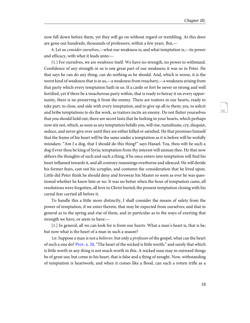now fell down before them, yet they will go on without regard or trembling. At this door are gone out hundreds, thousands of professors, within a few years. But,—

4. Let us consider ourselves,—what our weakness is; and what temptation is,—its power and efficacy, with what it leads unto:—

(1.) For ourselves, we are weakness itself. We have no strength, no power to withstand. Confidence of any strength in us is one great part of our weakness; it was so in Peter. He that says he can do any thing, can do nothing as he should. And, which is worse, it is the worst kind of weakness that is in us,—a weakness from treachery,—a weakness arising from that party which every temptation hath in us. If a castle or fort be never so strong and well fortified, yet if there be a treacherous party within, that is ready to betray it on every opportunity, there is no preserving it from the enemy. There are traitors in our hearts, ready to take part, to close, and side with every temptation, and to give up all to them; yea, to solicit and bribe temptations to do the work, as traitors incite an enemy. Do not flatter yourselves that you should hold out; there are secret lusts that lie lurking in your hearts, which perhaps now stir not, which, as soon as any temptation befalls you, will rise, tumultuate, cry, disquiet, seduce, and never give over until they are either killed or satisfied. He that promises himself that the frame of his heart will be the same under a temptation as it is before will be wofully mistaken. "Am I a dog, that I should do this thing?" says Hazael. Yea, thou wilt be such a dog if ever thou be king of Syria; temptation from thy interest will unman thee. He that now abhors the thoughts of such and such a thing, if he once enters into temptation will find his heart inflamed towards it, and all contrary reasonings overborne and silenced. He will deride his former fears, cast out his scruples, and contemn the consideration that he lived upon. Little did Peter think he should deny and forswear his Master so soon as ever he was questioned whether he knew him or no. It was no better when the hour of temptation came; all resolutions were forgotten, all love to Christ buried; the present temptation closing with his carnal fear carried all before it.

To handle this a little more distinctly, I shall consider the means of safety from the power of temptation, if we enter therein, that may be expected from ourselves; and that in general as to the spring and rise of them, and in particular as to the ways of exerting that strength we have, or seem to have:—

[1.] In general, all we can look for is from our *hearts*. What a man's heart is, that is he; but now what is the heart of a man in such a season?

1st. Suppose a man is not a *believer*, but only a *professor* of the gospel, what can the heart of such a one do? [Prov. x. 20](http://www.ccel.org/study/Bible:Prov.10.20), "The heart of the wicked is little worth;" and surely that which is little worth in any thing is not much worth in this. A wicked man may in outward things be of great use; but come to his heart, that is false and a thing of nought. Now, withstanding of temptation is heartwork; and when it comes like a flood, can such a rotten trifle as a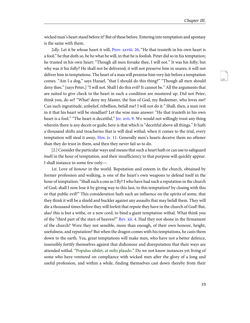wicked man's heart stand before it? But of these before. Entering into temptation and apostasy is the same with them.

 $2dly$ . Let it be whose heart it will, [Prov. xxviii. 26](http://www.ccel.org/study/Bible:Prov.28.26), "He that trusteth in his own heart is a fool;" he that doth so, be he what he will, in that he is foolish. Peter did so in his temptation; he trusted in his own heart: "Though all men forsake thee, I will not." It was his folly; but why was it his folly? He shall not be delivered; it will not preserve him in snares; it will not deliver him in temptations. The heart of a man will promise him very fair before a temptation comes. "Am I a dog," says Hazael, "that I should do this thing?" "Though all men should deny thee," [says Peter,] "I will not. Shall I do this evil? It cannot be." All the arguments that are suited to give check to the heart in such a condition are mustered up. Did not Peter, think you, do so? "What! deny my Master, the Son of God, my Redeemer, who loves me? Can such ingratitude, unbelief, rebellion, befall me? I will not do it." Shall, then, a man rest in it that his heart will be steadfast? Let the wise man answer: "He that trusteth in his own heart is a fool." "The heart is deceitful," [Jer. xvii. 9.](http://www.ccel.org/study/Bible:Jer.17.9) We would not willingly trust any thing wherein there is any deceit or guile; here is that which is "deceitful above all things." It hath a thousand shifts and treacheries that is will deal withal; when it comes to the trial, every temptation will steal it away, [Hos. iv. 11](http://www.ccel.org/study/Bible:Hos.4.11). Generally men's hearts deceive them no oftener than they do trust in them, and then they never fail so to do.

[2.] Consider the particular ways and means that such a heart hath or can use to safeguard itself in the hour of temptation, and their insufficiency to that purpose will quickly appear. I shall instance in some few only:—

1st. Love of honour in the world. Reputation and esteem in the church, obtained by former profession and walking, is one of the heart's own weapons to defend itself in the hour of temptation. "Shall such a one as I fly? I who have had such a reputation in the church of God, shall I now lose it by giving way to this lust, to this temptation? by closing with this or that public evil?" This consideration hath such an influence on the spirits of some, that they think it will be a shield and buckler against any assaults that may befall them. They will die a thousand times before they will forfeit that repute they have in the church of God! But, alas! this is but a withe, or a new cord, to bind a giant temptation withal. What think you of the "third part of the stars of heaven?" [Rev. xii. 4.](http://www.ccel.org/study/Bible:Rev.12.4) Had they not shone in the firmament of the church? Were they not sensible, more than enough, of their own honour, height, usefulness, and reputation? But when the dragon comes with his temptations, he casts them down to the earth. Yea, great temptations will make men, who have not a better defence, insensibly fortify themselves against that dishonour and disreputation that their ways are attended withal. "Populus sibilet, at mihi plaudo." Do we not know instances yet living of some who have ventured on compliance with wicked men after the glory of a long and useful profession, and within a while, finding themselves cast down thereby from their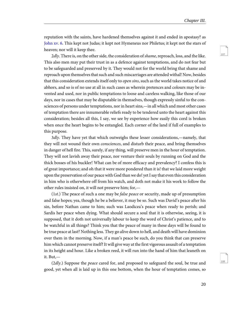reputation with the saints, have hardened themselves against it and ended in apostasy? as [John xv. 6](http://www.ccel.org/study/Bible:John.15.6). This kept not Judas; it kept not Hymeneus nor Philetus; it kept not the stars of heaven; nor will it keep thee.

2dly. There is, on the other side, the consideration of shame, reproach, loss, and the like. This also men may put their trust in as a defence against temptations, and do not fear but to be safeguarded and preserved by it. They would not for the world bring that shame and reproach upon themselves that such and such miscarriages are attended withal! Now, besides that this consideration extends itself only to *open sins*, such as the world takes notice of and abhors, and so is of no use at all in such cases as wherein pretences and colours may be invented and used, nor in public temptations to loose and careless walking, like those of our days, nor in cases that may be disputable in themselves, though expressly sinful to the consciences of persons under temptations, nor in heart sins,—in all which and most other cases of temptation there are innumerable reliefs ready to be tendered unto the heart against this consideration; besides all this, I say, we see by experience how easily this cord is broken when once the heart begins to be entangled. Each corner of the land if full of examples to this purpose.

3dly. They have yet that which outweighs these lesser considerations,—namely, that they will not wound their own consciences, and disturb their peace, and bring themselves in danger of hell fire. This, surely, if any thing, will preserve men in the hour of temptation. They will not lavish away their peace, nor venture their souls by running on God and the thick bosses of his buckler! What can be of more efficacy and prevalency? I confess this is of great importance; and oh that it were more pondered than it is! that we laid more weight upon the preservation of our peace with God than we do! yet I say that even this consideration in him who is otherwhere off from his watch, and doth not make it his work to follow the other rules insisted on, it will not preserve him; for,—

(1st.) The peace of such a one may be *false peace* or security, made up of presumption and false hopes; yea, though he be a believer, it may be so. Such was David's peace after his sin, before Nathan came to him; such was Laodicea's peace when ready to perish; and Sardis her peace when dying. What should secure a soul that it is otherwise, seeing, it is supposed, that it doth not universally labour to keep the word of Christ's patience, and to be watchful in all things? Think you that the peace of many in these days will be found to be true peace at last? Nothing less. They go alive down to hell, and death will have dominion over them in the morning. Now, if a man's peace be such, do you think that can preserve him which cannot preserve itself? It will give way at the first vigorous assault of a temptation in its height and hour. Like a broken reed, it will run into the hand of him that leaneth on it. But,—

(2dly.) Suppose the peace cared for, and proposed to safeguard the soul, be true and good, yet when all is laid up in this one bottom, when the hour of temptation comes, so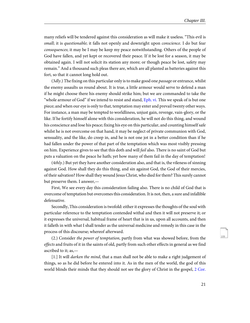many reliefs will be tendered against this consideration as will make it useless. "This evil is small; it is questionable; it falls not openly and downright upon conscience. I do but fear consequences; it may be I may be keep my peace notwithstanding. Others of the people of God have fallen, and yet kept or recovered their peace. If it be lost for a season, it may be obtained again. I will not solicit its station any more; or though peace be lost, safety may remain." And a thousand such pleas there are, which are all planted as batteries against this fort, so that it cannot long hold out.

(3dly.) The fixing on this particular only is to make good one passage or entrance, whilst the enemy assaults us round about. It is true, a little armour would serve to defend a man if he might choose there his enemy should strike him; but we are commanded to take the "whole armour of God" if we intend to resist and stand, [Eph. vi.](http://www.ccel.org/study/Bible:Eph.6) This we speak of is but one piece; and when our eye is only to that, temptation may enter and prevail twenty other ways. For instance, a man may be tempted to worldliness, unjust gain, revenge, vain-glory, or the like. If he fortify himself alone with this consideration, he will not do this thing, and wound his conscience and lose his peace; fixing his eye on this particular, and counting himself safe whilst he is not overcome on that hand, it may be neglect of private communion with God, sensuality, and the like, do creep in, and he is not one jot in a better condition than if he had fallen under the power of that part of the temptation which was most visibly pressing on him. Experience gives to see that this doth and will fail also. There is no saint of God but puts a valuation on the peace he hath; yet how many of them fail in the day of temptation!

(4thly.) But yet they have another consideration also, and that is, the vileness of sinning against God. How shall they do this thing, and sin against God, the God of their mercies, of their salvation? How shall they wound Jesus Christ, who died for them? This surely cannot but preserve them. I answer,—

First, We see every day this consideration failing also. There is no child of God that is overcome of temptation but overcomes this consideration. It is not, then, a sure and infallible defensative.

Secondly, This consideration is twofold: either it expresses the thoughts of the soul with particular reference to the temptation contended withal and then it will not preserve it; or it expresses the universal, habitual frame of heart that is in us, upon all accounts, and then it falleth in with what I shall tender as the universal medicine and remedy in this case in the process of this discourse; whereof afterward.

(2.) Consider the power of temptation, partly from what was showed before, from the effects and fruits of it in the saints of old, partly from such other effects in general as we find ascribed to it; as,—

[1.] It will *darken the mind*, that a man shall not be able to make a right judgement of things, so as he did before he entered into it. As in the men of the world, the god of this world blinds their minds that they should not see the glory of Christ in the gospel, [2 Cor.](http://www.ccel.org/study/Bible:2Cor.4.4)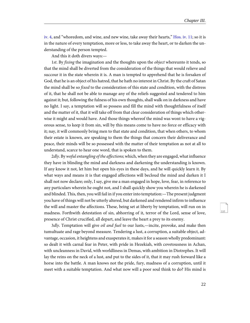[iv. 4](http://www.ccel.org/study/Bible:2Cor.4.4), and "whoredom, and wine, and new wine, take away their hearts," [Hos. iv. 11](http://www.ccel.org/study/Bible:Hos.4.11); so it is in the nature of every temptation, more or less, to take away the heart, or to darken the understanding of the person tempted.

And this it doth divers ways:—

1st. By fixing the imagination and the thoughts upon the *object* whereunto it tends, so that the mind shall be diverted from the consideration of the things that would relieve and succour it in the state wherein it is. A man is tempted to apprehend that he is forsaken of God, that he is an object of his hatred, that he hath no interest in Christ. By the craft of Satan the mind shall be so *fixed* to the consideration of this state and condition, with the distress of it, that he shall not be able to manage any of the reliefs suggested and tendered to him against it; but, following the fulness of his own thoughts, shall walk on in darkness and have no light. I say, a temptation will so possess and fill the mind with thoughtfulness of itself and the matter of it, that it will take off from that clear consideration of things which otherwise it might and would have. And those things whereof the mind was wont to have a vigorous sense, to keep it from sin, will by this means come to have no force or efficacy with it; nay, it will commonly bring men to that state and condition, that when others, to whom their estate is known, are speaking to them the things that concern their deliverance and peace, their minds will be so possessed with the matter of their temptation as not at all to understand, scarce to hear one word, that is spoken to them.

2*dly*. By woful entangling of the affections; which, when they are engaged, what influence they have in blinding the mind and darkness and darkening the understanding is known. If any know it not, let him but open his eyes in these days, and he will quickly learn it. By what ways and means it is that engaged affections will becloud the mind and darken it I shall not now declare; only, I say, give me a man engaged in hope, love, fear, in reference to any particulars wherein he ought not, and I shall quickly show you wherein he is darkened and blinded. This, then, you will fail in if you enter into temptation:—The present judgment you have of things will not be utterly altered, but darkened and rendered infirm to influence the will and master the affections. These, being set at liberty by temptation, will run on in madness. Forthwith detestation of sin, abhorring of it, terror of the Lord, sense of love, presence of Christ crucified, all depart, and leave the heart a prey to its enemy.

3dly. Temptation will give *oil and fuel* to our lusts,—incite, provoke, and make then tumultuate and rage beyond measure. Tendering a lust, a corruption, a suitable object, advantage, occasion, it heightens and exasperates it, makes it for a season wholly predominant: so dealt it with carnal fear in Peter, with pride in Hezekiah, with covetousness in Achan, with uncleanness in David, with worldliness in Demas, with ambition in Diotrephes. It will lay the reins on the neck of a lust, and put to the sides of it, that it may rush forward like a horse into the battle. A man knows not the pride, fury, madness of a corruption, until it meet with a suitable temptation. And what now will a poor soul think to do? His mind is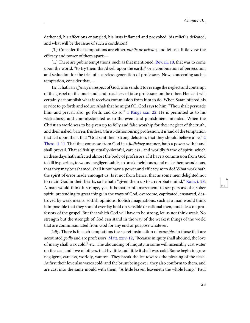darkened, his affections entangled, his lusts inflamed and provoked, his relief is defeated; and what will be the issue of such a condition?

(3.) Consider that temptations are either public or private; and let us a little view the efficacy and power of them apart:—

[1.] There are public temptations; such as that mentioned, [Rev. iii. 10](http://www.ccel.org/study/Bible:Rev.3.10), that was to come upon the world, "to try them that dwell upon the earth;" or a combination of persecution and seduction for the trial of a careless generation of professors. Now, concerning such a temptation, consider that,—

1st. It hath an efficacy in respect of God, who sends it to revenge the neglect and contempt of the gospel on the one hand, and treachery of false professors on the other. Hence it will certainly accomplish what it receives commission from him to do. When Satan offered his service to go forth and seduce Ahab that he might fall, God says to him, "Thou shalt persuade him, and prevail also: go forth, and do so," [1 Kings xxii. 22](http://www.ccel.org/study/Bible:1Kgs.22.22). He is permitted as to his wickedness, and commissionated as to the event and punishment intended. When the Christian world was to be given up to folly and false worship for their neglect of the truth, and their naked, barren, fruitless, Christ-dishonouring profession, it is said of the temptation that fell upon then, that "God sent them strong delusion, that they should believe a lie," [2](http://www.ccel.org/study/Bible:2Thess.2.11) [Thess. ii. 11.](http://www.ccel.org/study/Bible:2Thess.2.11) That that comes so from God in a *judiciary* manner, hath a power with it and shall prevail. That selfish spiritually-slothful, careless , and worldly frame of spirit, which in these days hath infected almost the body of professors, if it have a commission from God to kill hypocrites, to wound negligent saints, to break their bones, and make them scandalous, that they may be ashamed, shall it not have a power and efficacy so to do? What work hath the spirit of error made amongst us! Is it not from hence, that as some men delighted not to retain God in their hearts, so he hath "given them up to a reprobate mind," [Rom. i. 28.](http://www.ccel.org/study/Bible:Rom.1.28) A man would think it strange, yea, it is matter of amazement, to see persons of a sober spirit, pretending to great things in the ways of God, overcome, captivated, ensnared, destroyed by weak means, sottish opinions, foolish imaginations, such as a man would think it impossible that they should ever lay hold on sensible or rational men, much less on professors of the gospel. But that which God will have to be strong, let us not think weak. No strength but the strength of God can stand in the way of the weakest things of the world that are commissionated from God for any end or purpose whatever.

2*dly*. There is in such temptations the secret insinuation of *examples* in those that are accounted *godly* and are professors: [Matt. xxiv. 12](http://www.ccel.org/study/Bible:Matt.24.12), "Because iniquity shall abound, the love of many shall wax cold," etc. The abounding of iniquity in some will insensibly cast water on the zeal and love of others, that by little and little it shall wax cold. Some begin to grow negligent, careless, worldly, wanton. They break the ice towards the pleasing of the flesh. At first their love also waxes cold; and the brunt being over, they also conform to them, and are cast into the same mould with them. "A little leaven leaveneth the whole lump." Paul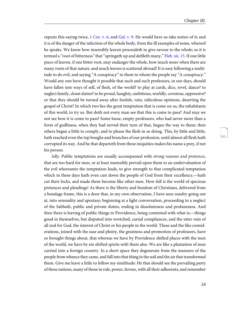repeats this saying twice, [1 Cor. v. 6,](http://www.ccel.org/study/Bible:1Cor.5.6) and [Gal. v. 9](http://www.ccel.org/study/Bible:Gal.5.9). He would have us take notice of it; and it is of the danger of the infection of the whole body, from the ill examples of some, whereof he speaks. We know how insensibly leaven proceedeth to give savour to the whole; so it is termed a "root of bitterness" that "springeth up and defileth many," [Heb. xii. 15](http://www.ccel.org/study/Bible:Heb.12.15). If one little piece of leaven, if one bitter root, may endanger the whole, how much more when there are many roots of that nature, and much leaven is scattered abroad! It is easy following a multitude to do evil, and saying "A conspiracy" to them to whom the people say "A conspiracy." Would any one have thought it possible that such and such professors, in our days, should have fallen into ways of self, of flesh, of the world? to play at cards, dice, revel, dance? to neglect family, closet duties? to be proud, haughty, ambitious, worldly, covetous, oppressive? or that they should be turned away after foolish, vain, ridiculous opinions, deserting the gospel of Christ? In which two lies the great temptation that is come on us, the inhabitants of this world, to try us. But doth not every man see that this is come to pass? And may we not see how it is come to pass? Some loose, empty professors, who had never more than a form of godliness, when they had served their turn of that, began the way to them; then others began a little to comply, and to please the flesh in so doing. This, by little and little, hath reached even the top boughs and branches of our profession, until almost all flesh hath corrupted its way. And he that departeth from these iniquities makes his name a prey, if not his person.

3*dly*. Public temptations are usually accompanied with *strong reasons and pretences*, that are too hard for men, or at least insensibly prevail upon them to an undervaluation of the evil whereunto the temptation leads, to give strength to that complicated temptation which in these days hath even cast down the people of God from their excellency,—hath cut their locks, and made them become like other men. How full is the world of specious pretences and pleadings! As there is the liberty and freedom of Christians, delivered from a bondage frame, this is a door that, in my own observation, I have seen sundry going out at, into sensuality and apostasy; beginning at a light conversation, proceeding to a neglect of the Sabbath, public and private duties, ending in dissoluteness and profaneness. And then there is leaving of public things to Providence, being contented with what is;—things good in themselves, but disputed into wretched, carnal compliances, and the utter ruin of all zeal for God, the interest of Christ or his people in the world. These and the like considerations, joined with the ease and plenty, the greatness and promotion of professors, have so brought things about, that whereas we have by Providence shifted places with the men of the world, we have by sin shifted spirits with them also. We are like a plantation of men carried into a foreign country. In a short space they degenerate from the manners of the people from whence they came, and fall into that thing in the soil and the air that transformed them. Give me leave a little to follow my similitude: He that should see the prevailing party of these nations, many of those in rule, power, favour, with all their adherents, and remember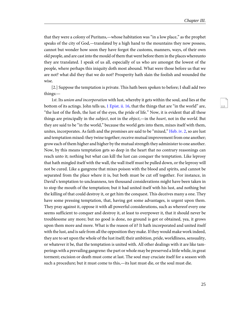that they were a colony of Puritans,—whose habitation was "in a low place," as the prophet speaks of the city of God,—translated by a high hand to the mountains they now possess, cannot but wonder how soon they have forgot the customs, manners, ways, of their own old people, and are cast into the mould of them that went before them in the places whereunto they are translated. I speak of us all, especially of us who are amongst the lowest of the people, where perhaps this iniquity doth most abound. What were those before us that we are not? what did they that we do not? Prosperity hath slain the foolish and wounded the wise.

[2.] Suppose the temptation is private. This hath been spoken to before; I shall add two things:—

1st. Its union and incorporation with lust, whereby it gets within the soul, and lies at the bottom of its actings. John tells us, [1 Epist. ii. 16](http://www.ccel.org/study/), that the things that are "in the world" are, "the lust of the flesh, the lust of the eyes, the pride of life." Now, it is evident that all these things are principally in the *subject*, not in the *object*,—in the *heart*, not in the *world*. But they are said to be "in the world," because the world gets into them, mixes itself with them, unites, incorporates. As faith and the promises are said to be "mixed," [Heb. iv. 2,](http://www.ccel.org/study/Bible:Heb.4.2) so are lust and temptation mixed: they twine together; receive mutual improvement from one another; grow each of them higher and higher by the mutual strength they administer to one another. Now, by this means temptation gets so deep in the heart that no contrary reasonings can reach unto it; nothing but what can kill the lust can conquer the temptation. Like leprosy that hath mingled itself with the wall, the wall itself must be pulled down, or the leprosy will not be cured. Like a gangrene that mixes poison with the blood and spirits, and cannot be separated from the place where it is, but both must be cut off together. For instance, in David's temptation to uncleanness, ten thousand considerations might have been taken in to stop the mouth of the temptation; but it had united itself with his lust, and nothing but the killing of that could destroy it, or get him the conquest. This deceives many a one. They have some pressing temptation, that, having got some advantages, is urgent upon them. They pray against it, oppose it with all powerful considerations, such as whereof every one seems sufficient to conquer and destroy it, at least to overpower it, that it should never be troublesome any more; but no good is done, no ground is got or obtained, yea, it grows upon them more and more. What is the reason of it? It hath incorporated and united itself with the lust, and is safe from all the opposition they make. If they would make work indeed, they are to set upon the whole of the lust itself; their ambition, pride, worldliness, sensuality, or whatever it be, that the temptation is united with. All other dealings with it are like tamperings with a prevailing gangrene: the part or whole may be preserved a little while, in great torment; excision or death must come at last. The soul may cruciate itself for a season with such a procedure; but it must come to this,—its lust must die, or the soul must die.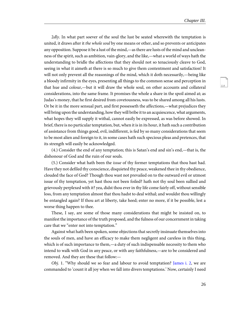2*dly*. In what part soever of the soul the lust be seated wherewith the temptation is united, it draws after it *the whole soul* by one means or other, and so prevents or anticipates any opposition. Suppose it be a lust of the mind,—as there are lusts of the mind and uncleanness of the spirit, such as ambition, vain-glory, and the like,—what a world of ways hath the understanding to bridle the affections that they should not so tenaciously cleave to God, seeing in what it aimeth at there is so much to give them contentment and satisfaction! It will not only prevent all the reasonings of the mind, which it doth necessarily,—being like a bloody infirmity in the eyes, presenting all things to the common sense and perception in that hue and colour,—but it will draw the whole soul, on other accounts and collateral considerations, into the same frame. It promises the whole a share in the spoil aimed at; as Judas's money, that he first desired from covetousness, was to be shared among all his lusts. Or be it in the more sensual part, and first possesseth the affections,—what prejudices they will bring upon the understanding, how they will bribe it to an acquiescence, what arguments, what hopes they will supply it withal, cannot easily be expressed, as was before showed. In brief, there is no particular temptation, but, when it is in its hour, it hath such a contribution of assistance from things good, evil, indifferent, is fed by so many considerations that seem to be most alien and foreign to it, in some cases hath such specious pleas and pretences, that its strength will easily be acknowledged.

(4.) Consider the end of any temptation; this is Satan's end and sin's end,—that is, the dishonour of God and the ruin of our souls.

(5.) Consider what hath been the issue of thy former temptations that thou hast had. Have they not defiled thy conscience, disquieted thy peace, weakened thee in thy obedience, clouded the face of God? Though thou wast not prevailed on to the outward evil or utmost issue of thy temptation, yet hast thou not been foiled? hath not thy soul been sullied and grievously perplexed with it? yea, didst thou ever in thy life come fairly off, without sensible loss, from any temptation almost that thou hadst to deal withal; and wouldst thou willingly be entangled again? If thou art at liberty, take heed; enter no more, if it be possible, lest a worse thing happen to thee.

These, I say, are some of those many considerations that might be insisted on, to manifest the importance of the truth proposed, and the fulness of our concernment in taking care that we "enter not into temptation."

Against what hath been spoken, some objections that secretly insinuate themselves into the souls of men, and have an efficacy to make them negligent and careless in this thing, which is of such importance to them,—a duty of such indispensable necessity to them who intend to walk with God in any peace, or with any faithfulness,—are to be considered and removed. And they are these that follow:—

Obj. 1. "Why should we so fear and labour to avoid temptation? [James i. 2](http://www.ccel.org/study/Bible:Jas.1.2), we are commanded to 'count it all joy when we fall into divers temptations.' Now, certainly I need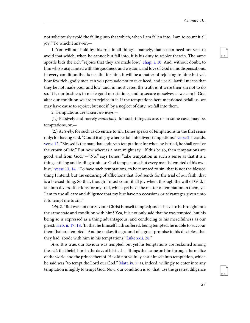not solicitously avoid the falling into that which, when I am fallen into, I am to count it all joy." To which I answer,—

1. You will not hold by this rule in all things,—namely, that a man need not seek to avoid that which, when he cannot but fall into, it is his duty to rejoice therein. The same apostle bids the rich "rejoice that they are made low," [chap. i. 10](http://www.ccel.org/study/Bible:Jas.1.10). And, without doubt, to him who is acquainted with the goodness, and wisdom, and love of God in his dispensations, in every condition that is needful for him, it will be a matter of rejoicing to him: but yet, how few rich, godly men can you persuade not to take heed, and use all lawful means that they be not made poor and low! and, in most cases, the truth is, it were their sin not to do so. It is our business to make good our stations, and to secure ourselves as we can; if God alter our condition we are to rejoice in it. If the temptations here mentioned befall us, we may have cause to rejoice; but not if, by a neglect of duty, we fall into them.

2. Temptations are taken two ways:—

(1.) Passively and merely materially, for such things as are, or in some cases may be, temptations; or,—

(2.) Actively, for such as do entice to sin. James speaks of temptations in the first sense only; for having said, "Count it all joy when ye fall into divers temptations," [verse 2](http://www.ccel.org/study/); he adds, [verse 12](http://www.ccel.org/study/), "Blessed is the man that endureth temptation: for when he is tried, he shall receive the crown of life." But now whereas a man might say, "If this be so, then temptations are good, and from God;"—"No," says James; "take temptation in such a sense as that it is a thing enticing and leading to sin, so God tempts none; but every man is tempted of his own lust," [verse 13, 14](http://www.ccel.org/study/). "To have such temptations, to be tempted to sin, that is not the blessed thing I intend; but the enduring of afflictions that God sends for the trial of our faith, that is a blessed thing. So that, though I must count it all joy when, through the will of God, I fall into divers afflictions for my trial, which yet have the matter of temptation in them, yet I am to use all care and diligence that my lust have no occasions or advantages given unto it to tempt me to sin."

Obj. 2. "But was not our Saviour Christ himself tempted; and is it evil to be brought into the same state and condition with him? Yea, it is not only said that he was tempted, but his being so is expressed as a thing advantageous, and conducing to his mercifulness as our priest: [Heb. ii. 17, 18,](http://www.ccel.org/study/Bible:Heb.2.17-Heb.2.18) 'In that he himself hath suffered, being tempted, he is able to succour them that are tempted.' And he makes it a ground of a great promise to his disciples, that they had 'abode with him in his temptations,' [Luke xxii. 28.](http://www.ccel.org/study/Bible:Luke.22.28)"

Ans. It is true, our Saviour was tempted; but yet his temptations are reckoned among the evils that befell him in the days of his flesh,—things that came on him through the malice of the world and the prince thereof. He did not wilfully cast himself into temptation, which he said was "to tempt the Lord our God," [Matt. iv. 7](http://www.ccel.org/study/Bible:Matt.4.7); as, indeed, willingly to enter into any temptation is highly to tempt God. Now, our condition is so, that, use the greatest diligence

116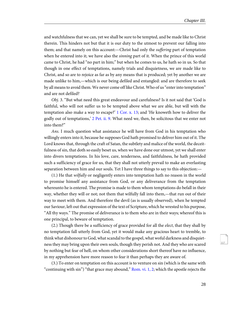and watchfulness that we can, yet we shall be sure to be tempted, and be made like to Christ therein. This hinders not but that it is our duty to the utmost to prevent our falling into them; and that namely on this account:—Christ had only the *suffering* part of temptation when he entered into it; we have also the *sinning* part of it. When the prince of this world came to Christ, he had "no part in him;" but when he comes to us, he hath so in us. So that though in one effect of temptations, namely trials and disquietness, we are made like to Christ, and so are to rejoice as far as by any means that is produced; yet by another we are made unlike to him,—which is our being defiled and entangled: and are therefore to seek by all means to avoid them. We never come off like Christ. Who of us "enter into temptation" and are not defiled?

Obj. 3. "But what need this great endeavour and carefulness? Is it not said that 'God is faithful, who will not suffer us to be tempted above what we are able, but will with the temptation also make a way to escape?' [1 Cor. x. 13;](http://www.ccel.org/study/Bible:1Cor.10.13) and 'He knoweth how to deliver the godly out of temptations,' [2 Pet. ii. 9.](http://www.ccel.org/study/Bible:2Pet.2.9) What need we, then, be solicitous that we enter not into them?"

Ans. I much question what assistance he will have from God in his temptation who willingly enters into it, because he supposes God hath promised to deliver him out of it. The Lord knows that, through the craft of Satan, the subtlety and malice of the world, the deceitfulness of sin, that doth so easily beset us, when we have done our utmost, yet we shall enter into divers temptations. In his love, care, tenderness, and faithfulness, he hath provided such a sufficiency of grace for us, that they shall not utterly prevail to make an everlasting separation between him and our souls. Yet I have three things to say to this objection:—

(1.) He that wilfully or negligently enters into temptation hath no reason in the world to promise himself any assistance from God, or any deliverance from the temptation whereunto he is entered. The promise is made to them whom temptations do befall in their way, whether they will or not; not them that wilfully fall into them,—that run out of their way to meet with them. And therefore the devil (as is usually observed), when he tempted our Saviour, left out that expression of the text of Scripture, which he wrested to his purpose, "All thy ways." The promise of deliverance is to them who are in their ways; whereof this is one principal, to beware of temptation.

(2.) Though there be a sufficiency of grace provided for all the elect, that they shall by no temptation fall utterly from God, yet it would make any gracious heart to tremble, to think what dishonour to God, what scandal to the gospel, what woful darkness and disquietness they may bring upon their own souls, though they perish not. And they who are scared by nothing but fear of hell, on whom other considerations short thereof have no influence, in my apprehension have more reason to fear it than perhaps they are aware of.

(3.) To enter on temptation on this account is to venture on sin (which is the same with "continuing with sin") "that grace may abound," [Rom. vi. 1, 2](http://www.ccel.org/study/Bible:Rom.6.1-Rom.6.2); which the apostle rejects the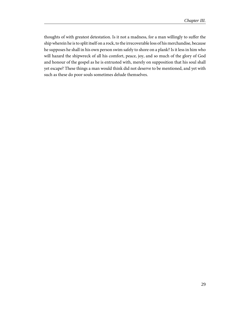thoughts of with greatest detestation. Is it not a madness, for a man willingly to suffer the ship wherein he is to split itself on a rock, to the irrecoverable loss of his merchandise, because he supposes he shall in his own person swim safely to shore on a plank? Is it less in him who will hazard the shipwreck of all his comfort, peace, joy, and so much of the glory of God and honour of the gospel as he is entrusted with, merely on supposition that his soul shall yet escape? These things a man would think did not deserve to be mentioned, and yet with such as these do poor souls sometimes delude themselves.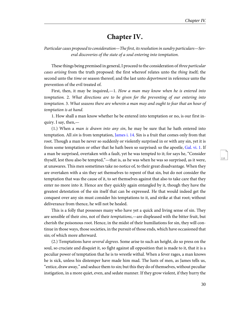#### **Chapter IV.**

<span id="page-33-0"></span>Particular cases proposed to consideration—The first, its resolution in sundry particulars—Several discoveries of the state of a soul entering into temptation.

These things being premised in general, I proceed to the consideration of three particular cases arising from the truth proposed: the first whereof relates unto the thing itself; the second unto the *time* or season thereof; and the last unto *deportment* in reference unto the prevention of the evil treated of.

First, then, it may be inquired,—1. How a man may know when he is entered into temptation. 2. What directions are to be given for the preventing of our entering into temptation. 3. What seasons there are wherein a man may and ought to fear that an hour of temptation is at hand.

1. How shall a man know whether he be entered into temptation or no, is our first inquiry. I say, then,—

 $(1.)$  When a *man is drawn into any sin*, he may be sure that he hath entered into temptation. All *sin* is from temptation, [James i. 14](http://www.ccel.org/study/Bible:Jas.1.14). Sin is a fruit that comes only from that root. Though a man be never so suddenly or violently surprised in or with any sin, yet it is from some temptation or other that he hath been so surprised: so the apostle, [Gal. vi. 1.](http://www.ccel.org/study/Bible:Gal.6.1) If a man be surprised, overtaken with a fault, yet he was tempted to it; for says he, "Consider thyself, lest thou also be tempted,"—that is, as he was when he was so surprised, as it were, at unawares. This men sometimes take no notice of, to their great disadvantage. When they are overtaken with a sin they set themselves to repent of that sin, but do not consider the temptation that was the cause of it, to set themselves against that also to take care that they enter no more into it. Hence are they quickly again entangled by it, though they have the greatest detestation of the sin itself that can be expressed. He that would indeed get the conquest over any sin must consider his temptations to it, and strike at that root; without deliverance from thence, he will not be healed.

This is a folly that possesses many who have yet a quick and living sense of sin. They are sensible of their *sins*, not of their *temptations*,—are displeased with the bitter fruit, but cherish the poisonous root. Hence, in the midst of their humiliations for sin, they will continue in those ways, those societies, in the pursuit of those ends, which have occasioned that sin; of which more afterward.

(2.) Temptations have several degrees. Some arise to such an height, do so press on the soul, so cruciate and disquiet it, so fight against all opposition that is made to it, that it is a peculiar power of temptation that he is to wrestle withal. When a fever rages, a man knows he is sick, unless his distemper have made him mad. The lusts of men, as James tells us, "entice, draw away," and seduce them to sin; but this they do of themselves, without peculiar instigation, in a more quiet, even, and sedate manner. If they grow violent, if they hurry the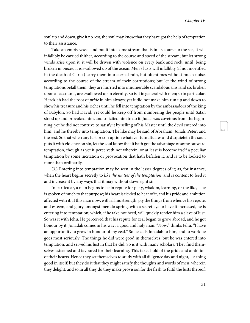soul up and down, give it no rest, the soul may know that they have got the help of temptation to their assistance.

Take an empty vessel and put it into some stream that is in its course to the sea, it will infallibly be carried thither, according to the course and speed of the stream; but let strong winds arise upon it, it will be driven with violence on every bank and rock, until, being broken in pieces, it is swallowed up of the ocean. Men's lusts will infallibly (if not mortified in the death of Christ) carry them into eternal ruin, but oftentimes without much noise, according to the course of the stream of their corruptions; but let the wind of strong temptations befall them, they are hurried into innumerable scandalous sins, and so, broken upon all accounts, are swallowed up in eternity. So is it in general with men; so in particular. Hezekiah had the root of *pride* in him always; yet it did not make him run up and down to show his treasure and his riches until he fell into temptation by the ambassadors of the king of Babylon. So had David; yet could he keep off from numbering the people until Satan stood up and provoked him, and solicited him to do it. Judas was covetous from the beginning; yet he did not contrive to satisfy it by selling of his Master until the devil entered into him, and he thereby into temptation. The like may be said of Abraham, Jonah, Peter, and the rest. So that when any lust or corruption whatever tumultuates and disquieteth the soul, puts it with violence on sin, let the soul know that it hath got the advantage of some outward temptation, though as yet it perceiveth not wherein, or at least is become itself a peculiar temptation by some incitation or provocation that hath befallen it, and is to be looked to more than ordinarily.

(3.) Entering into temptation may be seen in the lesser degrees of it; as, for instance, when the heart begins secretly to like the matter of the temptation, and is content to feed it and increase it by any ways that it may without downright sin.

In particular, a man begins to be in repute for piety, wisdom, learning, or the like,—he is spoken of much to that purpose; his heart is tickled to hear of it, and his pride and ambition affected with it. If this man now, with all his strength, ply the things from whence his repute, and esteem, and glory amongst men do spring, with a secret eye to have it increased, he is entering into temptation; which, if he take not heed, will quickly render him a slave of lust. So was it with Jehu. He perceived that his repute for zeal began to grow abroad, and he got honour by it. Jonadab comes in his way, a good and holy man. "Now," thinks Jehu, "I have an opportunity to grow in honour of my zeal." So he calls Jonadab to him, and to work he goes most seriously. The things he did were good in themselves, but he was entered into temptation, and served his lust in that he did. So is it with many scholars. They find themselves esteemed and favoured for their learning. This takes hold of the pride and ambition of their hearts. Hence they set themselves to study with all diligence day and night,—a thing good in itself; but they do it that they might satisfy the thoughts and words of men, wherein they delight: and so in all they do they make provision for the flesh to fulfil the lusts thereof.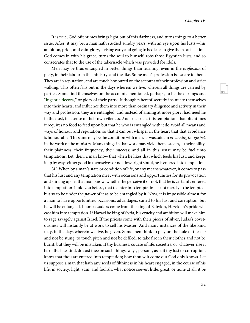It is true, God oftentimes brings light out of this darkness, and turns things to a better issue. After, it may be, a man hath studied sundry years, with an eye upon his lusts,—his ambition, pride, and vain-glory,—rising early and going to bed late, to give them satisfaction, God comes in with his grace, turns the soul to himself, robs those Egyptian lusts, and so consecrates that to the use of the tabernacle which was provided for idols.

Men may be thus entangled in better things than learning, even in the profession of piety, in their labour in the ministry, and the like. Some men's profession is a snare to them. They are in reputation, and are much honoured on the account of their profession and strict walking. This often falls out in the days wherein we live, wherein all things are carried by parties. Some find themselves on the accounts mentioned, perhaps, to be the darlings and "ingentia decora," or glory of their party. If thoughts hereof secretly insinuate themselves into their hearts, and influence them into more than ordinary diligence and activity in their way and profession, they are entangled; and instead of aiming at more glory, had need lie in the dust, in a sense of their own vileness. And so close is this temptation, that oftentimes it requires no food to feed upon but that he who is entangled with it do avoid all means and ways of honour and reputation; so that it can but whisper in the heart that that avoidance is honourable. The same may be the condition with men, as was said, in *preaching the gospel*, in the work of the ministry. Many things in that work may yield them esteem,—their ability, their plainness, their frequency, their success; and all in this sense may be fuel unto temptations. Let, then, a man know that when he likes that which feeds his lust, and keeps it up by ways either good in themselves or not downright sinful, he is entered into temptation.

(4.) When by a man's state or condition of life, or any means whatever, it comes to pass that his lust and any temptation meet with occasions and opportunities for its provocation and stirring up, let that man know, whether he perceive it or not, that he is certainly entered into temptation. I told you before, that to enter into temptation is not merely to be tempted, but so to be under the power of it as to be entangled by it. Now, it is impossible almost for a man to have opportunities, occasions, advantages, suited to his lust and corruption, but he will be entangled. If ambassadors come from the king of Babylon, Hezekiah's pride will cast him into temptation. If Hazael be king of Syria, his cruelty and ambition will make him to rage savagely against Israel. If the priests come with their pieces of silver, Judas's covetousness will instantly be at work to sell his Master. And many instances of the like kind may, in the days wherein we live, be given. Some men think to play on the hole of the asp and not be stung, to touch pitch and not be defiled, to take fire in their clothes and not be burnt; but they will be mistaken. If thy business, course of life, societies, or whatever else it be of the like kind, do cast thee on such things, ways, persons, as suit thy lust or corruption, know that thou art entered into temptation; how thou wilt come out God only knows. Let us suppose a man that hath any seeds of filthiness in his heart engaged, in the course of his life, in society, light, vain, and foolish, what notice soever, little, great, or none at all, it be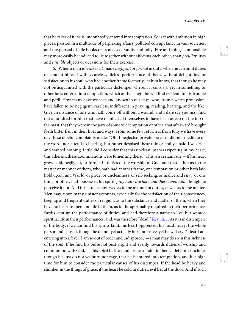<span id="page-36-1"></span>that he takes of it, he is undoubtedly entered into temptation. So is it with ambition in high places; passion in a multitude of perplexing affairs; polluted corrupt fancy in vain societies, and the perusal of idle books or treatises of vanity and folly. Fire and things combustible may more easily be induced to lie together without affecting each other, than *peculiar* lusts and suitable objects or occasions for their exercise.

<span id="page-36-2"></span><span id="page-36-0"></span>(5.) When a man is weakened, made negligent or formal in duty, when he can omit duties or content himself with a careless, lifeless performance of them, without delight, joy, or satisfaction to his soul, who had another frame formerly; let him know, that though he may not be acquainted with the particular distemper wherein it consists, yet in something or other he is entered into temptation, which at the length he will find evident, to his trouble and peril. How many have we seen and known in our days, who, from a warm profession, have fallen to be negligent, careless, indifferent in praying, reading, hearing, and the like! Give an instance of one who hath come off without a wound, and I dare say you may find out a hundred for him that have manifested themselves to have been asleep on the top of the mast; that they were in the jaws of some vile temptation or other, that afterward brought forth bitter fruit in their lives and ways. From some few returners from folly we have every day these doleful complaints made: "Oh! I neglected private prayer; I did not meditate on the word, nor attend to hearing, but rather despised these things: and yet said I was rich and wanted nothing. Little did I consider that this unclean lust was ripening in my heart; this atheism, these abominations were fomenting there." This is a certain rule:—If his heart grow cold, negligent, or formal in duties of the worship of God, and that either as to the matter or manner of them, who hath had another frame, one temptation or other hath laid hold upon him. World, or pride, or uncleanness, or self-seeking, or malice and envy, or one thing or other, hath possessed his spirit; gray hairs are here and there upon him, though he perceive it not. And this is to be observed as to the manner of duties, as well as to the matter. Men may, upon many sinister accounts, especially for the satisfaction of their consciences, keep up and frequent duties of religion, as to the substance and matter of them, when they have no heart to them, no life in them, as to the spirituality required in their performance. Sardis kept up the performance of duties, and had therefore a name to live; but wanted spiritual life in their performances, and, was therefore "dead," [Rev. iii. 1](http://www.ccel.org/study/Bible:Rev.3.1). As it is in distempers of the body, if a man find his spirits faint, his heart oppressed, his head heavy, the whole person indisposed, though he do not yet actually burn nor rave, yet he will cry, "I fear I am entering into a fever, I am so out of order and indisposed;"—a man may do so in this sickness of the soul. If he find his pulse not beat aright and evenly towards duties of worship and communion with God,—if his spirit be low, and his heart faint in them,—let him conclude, though his lust do not yet burn nor rage, that he is entered into temptation, and it is high time for him to consider the particular causes of his distemper. If the head be heavy and slumber in the things of grace, if the heart be cold in duties, evil lies at the door. And if such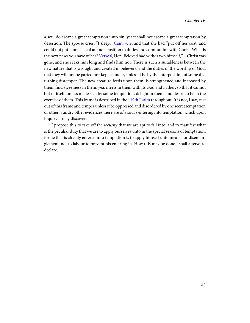<span id="page-37-0"></span>a soul do escape a great temptation unto sin, yet it shall not escape a great temptation by desertion. The spouse cries, "I sleep," [Cant. v. 2](http://www.ccel.org/study/Bible:Song.5.2); and that she had "put off her coat, and could not put it on;"—had an indisposition to duties and communion with Christ. What is the next news you have of her? [Verse 6,](http://www.ccel.org/study/) Her "Beloved had withdrawn himself,"—Christ was gone; and she seeks him long and finds him not. There is such a suitableness between the new nature that is wrought and created in believers, and the duties of the worship of God, that they will not be parted nor kept asunder, unless it be by the interposition of some disturbing distemper. The new creature feeds upon them, is strengthened and increased by them, find sweetness in them, yea, meets in them with its God and Father; so that it cannot but of itself, unless made sick by some temptation, delight in them, and desire to be in the exercise of them. This frame is described in the [119th Psalm](http://www.ccel.org/study/) throughout. It is not, I say, cast out of this frame and temper unless it be oppressed and disordered by one secret temptation or other. Sundry other evidences there are of a soul's entering into temptation, which upon inquiry it may discover.

I propose this to take off the security that we are apt to fall into, and to manifest what is the peculiar duty that we are to apply ourselves unto in the special seasons of temptation; for he that is already entered into temptation is to apply himself unto means for disentanglement, not to labour to prevent his entering in. How this may be done I shall afterward declare.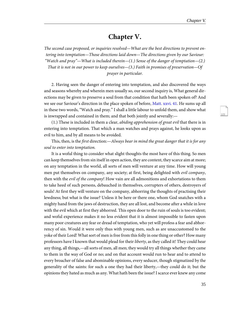## <span id="page-38-1"></span>**Chapter V.**

The second case proposed, or inquiries resolved—What are the best directions to prevent entering into temptation—Those directions laid down—The directions given by our Saviour: "Watch and pray"—What is included therein—(1.) Sense of the danger of temptation—(2.) That it is not in our power to keep ourselves— $(3.)$  Faith in promises of preservation—Of prayer in particular.

<span id="page-38-0"></span>2. Having seen the danger of entering into temptation, and also discovered the ways and seasons whereby and wherein men usually so, our second inquiry is, What general directions may be given to preserve a soul from that condition that hath been spoken of? And we see our Saviour's direction in the place spoken of before, [Matt. xxvi. 41.](http://www.ccel.org/study/Bible:Matt.26.41) He sums up all in these two words, "Watch and pray." I shall a little labour to unfold them, and show what is inwrapped and contained in them; and that both jointly and severally:—

 $(1.)$  These is included in them a clear, *abiding apprehension of great evil* that there is in entering into temptation. That which a man watches and prays against, he looks upon as evil to him, and by all means to be avoided.

This, then, is the first direction:—Always bear in mind the great danger that it is for any soul to enter into temptation.

It is a woful thing to consider what slight thoughts the most have of this thing. So men can keep themselves from sin itself in open action, they are content, they scarce aim at more; on any temptation in the world, all sorts of men will venture at any time. How will young men put themselves on company, any society; at first, being delighted with *evil company*, then with the *evil of the company*! How vain are all admonitions and exhortations to them to take heed of such persons, debauched in themselves, corrupters of others, destroyers of souls! At first they will venture on the company, abhorring the thoughts of practising their lewdness; but what is the issue? Unless it be here or there one, whom God snatches with a mighty hand from the jaws of destruction, they are all lost, and become after a while in love with the evil which at first they abhorred. This open door to the ruin of souls is too evident; and woful experience makes it no less evident that it is almost impossible to fasten upon many poor creatures any fear or dread of temptation, who yet will profess a fear and abhorrency of sin. Would it were only thus with young men, such as are unaccustomed to the yoke of their Lord! What sort of men is free from this folly in one thing or other? How many professors have I known that would plead for their liberty, as they called it! They could hear any thing, all things,—all sorts of men, all men; they would try all things whether they came to them in the way of God or no; and on that account would run to hear and to attend to every broacher of false and abominable opinions, every seducer, though stigmatized by the generality of the saints: for such a one they had their liberty,—they could do it; but the opinions they hated as much as any. What hath been the issue? I scarce ever knew any come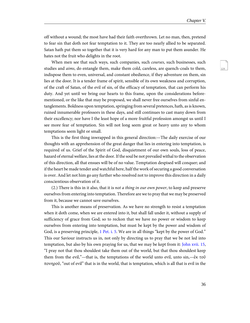off without a wound; the most have had their faith overthrown. Let no man, then, pretend to fear sin that doth not fear temptation to it. They are too nearly allied to be separated. Satan hath put them so together that it is very hard for any man to put them asunder. He hates not the fruit who delights in the root.

<span id="page-39-3"></span>When men see that such ways, such companies, such *courses*, such businesses, such studies and aims, do entangle them, make them cold, careless, are quench-coals to them, indispose them to even, universal, and constant obedience, if they adventure on them, sin lies at the door. It is a tender frame of spirit, sensible of its own weakness and corruption, of the craft of Satan, of the evil of sin, of the efficacy of temptation, that can perform his duty. And yet until we bring our hearts to this frame, upon the considerations beforementioned, or the like that may be proposed, we shall never free ourselves from sinful entanglements. Boldness upon temptation, springing from several pretences, hath, as is known, ruined innumerable professors in these days, and still continues to cast many down from their excellency; nor have I the least hope of a more fruitful profession amongst us until I see more fear of temptation. Sin will not long seem great or heavy unto any to whom temptations seem light or small.

This is the first thing inwrapped in this general direction:—The daily exercise of our thoughts with an apprehension of the great danger that lies in entering into temptation, is required of us. Grief of the Spirit of God, disquietment of our own souls, loss of peace, hazard of eternal welfare, lies at the door. If the soul be not prevailed withal to the observation of this direction, all that ensues will be of no value. Temptation despised will conquer; and if the heart be made tender and watchful here, half the work of securing a good conversation is over. And let not him go any further who resolved not to improve this direction in a daily conscientious observation of it.

 $(2.)$  There is this in it also, that it is *not a thing in our own power*, to keep and preserve ourselves from entering into temptation. Therefore are we to pray that we may be preserved from it, because we cannot save ourselves.

<span id="page-39-2"></span><span id="page-39-1"></span><span id="page-39-0"></span>This is another means of preservation. As we have no strength to resist a temptation when it doth come, when we are entered into it, but shall fall under it, without a supply of sufficiency of grace from God; so to reckon that we have no power or wisdom to keep ourselves from entering into temptation, but must be kept by the power and wisdom of God, is a preserving principle, [1 Pet. i. 5.](http://www.ccel.org/study/Bible:1Pet.1.5) We are in all things "kept by the power of God." This our Saviour instructs us in, not only by directing us to pray that we be not led into temptation, but also by his own praying for us, that we may be kept from it: [John xvii. 15,](http://www.ccel.org/study/Bible:John.17.15) "I pray not that thou shouldest take them out of the world, but that thou shouldest keep them from the evil,"—that is, the temptations of the world unto evil, unto sin,—ἐκ τοῦ πονηροῦ, "out of evil" that is in the world, that is temptation, which is all that is evil in the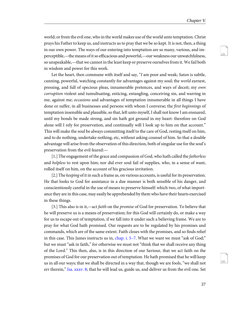<span id="page-40-2"></span>world; or from the evil one, who in the world makes use of the world unto temptation. Christ prays his Father to keep us, and instructs us to pray that we be so kept. It is not, then, a thing in our own power. The ways of our entering into temptation are so many, various, and imperceptible,—the means of it so efficacious and powerful,—our weakness our unwatchfulness, so unspeakable,—that we cannot in the least keep or preserve ourselves from it. We fail both in wisdom and power for this work.

Let the heart, then commune with itself and say, "I am poor and weak; Satan is subtle, cunning, powerful, watching constantly for advantages against my soul; the world earnest, pressing, and full of specious pleas, innumerable pretences, and ways of deceit; my own corruption violent and tumultuating, enticing, entangling, conceiving sin, and warring in me, against me; occasions and advantages of temptation innumerable in all things I have done or suffer, in all businesses and persons with whom I converse; the first beginnings of temptation insensible and plausible, so that, left unto myself, I shall not know I am ensnared, until my bonds be made strong, and sin hath got ground in my heart: therefore on God alone will I rely for preservation, and continually will I look up to him on that account." This will make the soul be always committing itself to the care of God, resting itself on him, and to do nothing, undertake nothing, etc, without asking counsel of him. So that a double advantage will arise from the observation of this direction, both of singular use for the soul's preservation from the evil feared:—

[1.] The engagement of the grace and compassion of God, who hath called the fatherless and helpless to rest upon him; nor did ever soul fail of supplies, who, in a sense of want, rolled itself on him, on the account of his gracious invitation.

[2.] The keeping of it in such a frame as, on various accounts, is useful for its preservation. He that looks to God for assistance in a due manner is both sensible of his danger, and conscientiously careful in the use of means to preserve himself: which two, of what importance they are in this case, may easily be apprehended by them who have their hearts exercised in these things.

<span id="page-40-3"></span><span id="page-40-1"></span><span id="page-40-0"></span>[3.] This also is in it,—act *faith* on the *promise* of God for preservation. To believe that he will preserve us is a means of preservation; for this God will certainly do, or make a way for us to escape out of temptation, if we fall into it under such a believing frame. We are to pray for what God hath promised. Our requests are to be regulated by his promises and commands, which are of the same extent. Faith closes with the promises, and so finds relief in this case. This James instructs us in, [chap. i. 5–7](http://www.ccel.org/study/Bible:Jas.1.5-Jas.1.7). What we want we must "ask of God;" but we must "ask in faith," for otherwise we must not "think that we shall receive any thing of the Lord." This then, also, is in this direction of our Saviour, that we act faith on the promises of God for our preservation out of temptation. He hath promised that he will keep us in all our ways; that we shall be directed in a way that, though we are fools, "we shall not err therein," [Isa. xxxv. 8;](http://www.ccel.org/study/Bible:Isa.35.8) that he will lead us, guide us, and deliver us from the evil one. Set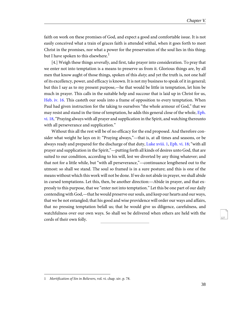faith on work on these promises of God, and expect a good and comfortable issue. It is not easily conceived what a train of graces faith is attended withal, when it goes forth to meet Christ in the promises, nor what a power for the preservation of the soul lies in this thing; but I have spoken to this elsewhere.<sup>1</sup>

<span id="page-41-2"></span>[4.] Weigh these things severally, and first, take prayer into consideration. To pray that we enter not into temptation is a means to preserve us from it. Glorious things are, by all men that know aught of those things, spoken of this *duty*; and yet the truth is, not one half of its excellency, power, and efficacy is known. It is not my business to speak of it in general; but this I say as to my present purpose,—he that would be little in temptation, let him be much in prayer. This calls in the suitable help and succour that is laid up in Christ for us, [Heb. iv. 16](http://www.ccel.org/study/Bible:Heb.4.16). This casteth our souls into a frame of opposition to every temptation. When Paul had given instruction for the taking to ourselves "the whole armour of God," that we may resist and stand in the time of temptation, he adds this general close of the whole, [Eph.](http://www.ccel.org/study/Bible:Eph.6.18) [vi. 18,](http://www.ccel.org/study/Bible:Eph.6.18) "Praying always with all prayer and supplication in the Spirit, and watching thereunto with all perseverance and supplication."

<span id="page-41-3"></span><span id="page-41-1"></span><span id="page-41-0"></span>Without this all the rest will be of no efficacy for the end proposed. And therefore consider what weight he lays on it: "Praying always,"—that is, at all times and seasons, or be always ready and prepared for the discharge of that duty, [Luke xviii. 1,](http://www.ccel.org/study/Bible:Luke.18.1) [Eph. vi. 18](http://www.ccel.org/study/Bible:Eph.6.18); "with all prayer and supplication in the Spirit,"—putting forth all kinds of desires unto God, that are suited to our condition, according to his will, lest we diverted by any thing whatever; and that not for a little while, but "with all perseverance,"—continuance lengthened out to the utmost: so shall we stand. The soul so framed is in a sure posture; and this is one of the means without which this work will not be done. If we do not abide in prayer, we shall abide in cursed temptations. Let this, then, be another direction:—Abide in prayer, and that expressly to this purpose, that we "enter not into temptation." Let this be one part of our daily contending with God,—that he would preserve our souls, and keep our hearts and our ways, that we be not entangled; that his good and wise providence will order our ways and affairs, that no pressing temptation befall us; that he would give us diligence, carefulness, and watchfulness over our own ways. So shall we be delivered when others are held with the cords of their own folly.

<sup>1</sup> Mortification of Sin in Believers, vol. vi. chap. xiv. p. 78.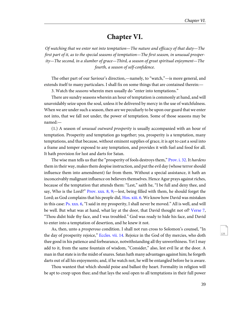## **Chapter VI.**

Of watching that we enter not into temptation—The nature and efficacy of that duty—The first part of it, as to the special seasons of temptation—The first season, in unusual prosperity—The second, in a slumber of grace—Third, a season of great spiritual enjoyment—The fourth, a season of self-confidence.

The other part of our Saviour's direction,—namely, to "watch,"—is more general, and extends itself to many particulars. I shall fix on some things that are contained therein:—

3. Watch the *seasons* wherein men usually do "enter into temptations."

There are sundry seasons wherein an hour of temptation is commonly at hand, and will unavoidably seize upon the soul, unless it be delivered by mercy in the use of watchfulness. When we are under such a season, then are we peculiarly to be upon our guard that we enter not into, that we fall not under, the power of temptation. Some of those seasons may be named:—

<span id="page-42-1"></span>(1.) A season of unusual outward prosperity is usually accompanied with an hour of temptation. Prosperity and temptation go together; yea, prosperity is a temptation, many temptations, and that because, without eminent supplies of grace, it is apt to cast a soul into a frame and temper exposed to any temptation, and provides it with fuel and food for all. It hath provision for lust and darts for Satan.

<span id="page-42-4"></span><span id="page-42-2"></span><span id="page-42-0"></span>The wise man tells us that the "prosperity of fools destroys them," [Prov. i. 32.](http://www.ccel.org/study/Bible:Prov.1.32) It hardens them in their way, makes them despise instruction, and put the evil day (whose terror should influence them into amendment) far from them. Without a special assistance, it hath an inconceivably malignant influence on believers themselves. Hence Agur prays against riches, because of the temptation that attends them: "Lest," saith he, "I be full and deny thee, and say, Who is the Lord?" [Prov. xxx. 8, 9;](http://www.ccel.org/study/Bible:Prov.30.8-Prov.30.9)—lest, being filled with them, he should forget the Lord; as God complains that his people did, [Hos. xiii. 6](http://www.ccel.org/study/Bible:Hos.13.6). We know how David was mistaken in this case: [Ps. xxx. 6](http://www.ccel.org/study/Bible:Ps.30.6), "I said in my prosperity, I shall never be moved." All is well, and will be well. But what was at hand, what lay at the door, that David thought not of? [Verse 7,](http://www.ccel.org/study/) "Thou didst hide thy face, and I was troubled." God was ready to hide his face, and David to enter into a temptation of desertion, and he knew it not.

<span id="page-42-5"></span><span id="page-42-3"></span>As, then, unto a prosperous condition. I shall not run cross to Solomon's counsel, "In the day of prosperity rejoice," [Eccles. vii. 14.](http://www.ccel.org/study/Bible:Eccl.7.14) Rejoice in the God of thy mercies, who doth thee good in his patience and forbearance, notwithstanding all thy unworthiness. Yet I may add to it, from the same fountain of wisdom, "Consider," also, lest evil lie at the door. A man in that state is in the midst of snares. Satan hath many advantages against him; he forgeth darts out of all his enjoyments; and, if he watch not, he will be entangled before he is aware.

Thou wantest that which should poise and ballast thy heart. Formality in religion will be apt to creep upon thee; and that lays the soul open to all temptations in their full power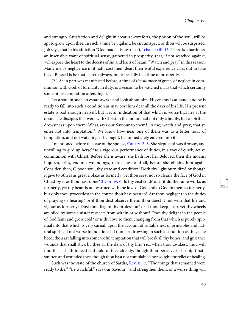<span id="page-43-0"></span>and strength. Satisfaction and delight in creature-comforts, the poison of the soul, will be apt to grow upon thee. In such a time be vigilant, be circumspect, or thou wilt be surprised. Job says, that in his affliction "God made his heart soft," [chap. xxiii. 16](http://www.ccel.org/study/Bible:Eccl.23.16). There is a hardness, an insensible want of spiritual sense, gathered in prosperity, that, if not watched against, will expose the heart to the deceits of sin and baits of Satan. "Watch and pray" in this season. Many men's negligence in it hath cost them dear; their woful experience cries out to take heed. Blessed is he that feareth always, but especially in a time of prosperity.

(2.) As in part was manifested before, a time of the slumber of grace, of neglect in communion with God, of formality in duty, is a season to be watched in, as that which certainly some other temptation attending it.

Let a soul in such an estate awake and look about him. His enemy is at hand, and he is ready to fall into such a condition as may cost him dear all the days of his life. His present estate is bad enough in itself; but it is an indication of that which is worse that lies at the door. The disciples that were with Christ in the mount had not only a bodily, but a spiritual drowsiness upon them. What says our Saviour to them? "Arise; watch and pray, that ye enter not into temptation." We know how near one of them was to a bitter hour of temptation, and not watching as he ought, he immediately entered into it.

<span id="page-43-4"></span><span id="page-43-2"></span><span id="page-43-1"></span>I mentioned before the case of the spouse, [Cant. v. 2–8](http://www.ccel.org/study/Bible:Song.5.2-Song.5.8). She slept, and was drowsy, and unwilling to gird up herself to a vigorous performance of duties, in a way of quick, active communion with Christ. Before she is aware, she hath lost her Beloved; then she moans, inquires, cries, endures woundings, reproaches, and all, before she obtains him again. Consider, then, O poor soul, thy state and condition! Doth thy light burn dim? or though it give to others as great a blaze as formerly, yet thou seest not so clearly the face of God in Christ by it as thou hast done? [2 Cor. iv. 6](http://www.ccel.org/study/Bible:2Cor.4.6). Is thy zeal cold? or if it do the same works as formerly, yet thy heart is not warmed with the love of God and to God in them as formerly, but only thou proceedest in the course thou hast been in? Art thou negligent in the duties of praying or hearing? or if thou dost observe them, thou doest it not with that life and vigour as formerly? Dost thou flag in thy profession? or if thou keep it up, yet thy wheels are oiled by some sinister respects from within or without? Does thy delight in the people of God faint and grow cold? or is thy love to them changing from that which is purely spiritual into that which is very carnal, upon the account of suitableness of principles and natural spirits, if not worse foundations? If thou art drowsing in such a condition as this, take heed; thou art falling into some woful temptation that will break all thy bones, and give thee wounds that shall stick by thee all the days of thy life. Yea, when thou awakest, thou wilt find that it hath indeed laid hold of thee already, though thou perceivedst it not; it hath smitten and wounded thee, though thou hast not complained nor sought for relief or healing.

<span id="page-43-3"></span>Such was the state of the church of Sardis, [Rev. iii. 2.](http://www.ccel.org/study/Bible:Rev.3.2) "The things that remained were ready to die." "Be watchful," says our Saviour, "and strengthen them, or a worse thing will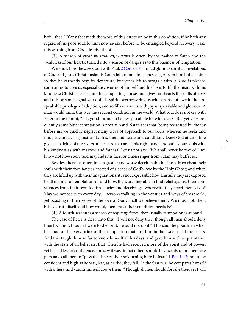befall thee." If any that reads the word of this direction be in this condition, if he hath any regard of his poor soul, let him now awake, before he be entangled beyond recovery. Take this warning from God; despise it not.

<span id="page-44-0"></span>(3.) A season of great spiritual enjoyments is often, by the malice of Satan and the weakness of our hearts, turned into a season of danger as to this business of temptation.

We know how the case stood with Paul, [2 Cor. xii. 7](http://www.ccel.org/study/Bible:2Cor.12.7). He had glorious spiritual revelations of God and Jesus Christ. Instantly Satan falls upon him, a messenger from him buffets him; so that he earnestly begs its departure, but yet is left to struggle with it. God is pleased sometimes to give us especial discoveries of himself and his love, to fill the heart with his kindness; Christ takes us into the banqueting-house, and gives our hearts their fills of love; and this by some signal work of his Spirit, overpowering us with a sense of love in the unspeakable privilege of adoption, and so fills our souls with joy unspeakable and glorious. A man would think this was the securest condition in the world. What soul does not cry with Peter in the mount, "It is good for me to be here; to abide here for ever?" But yet very frequently some bitter temptation is now at hand. Satan sees that, being possessed by the joy before us, we quickly neglect many ways of approach to our souls, wherein he seeks and finds advantages against us. Is this, then, our state and condition? Does God at any time give us to drink of the rivers of pleasure that are at his right hand, and satisfy our souls with his kindness as with marrow and fatness? Let us not say, "We shall never be moved;" we know not how soon God may hide his face, or a messenger from Satan may buffet us.

<span id="page-44-2"></span>Besides, there lies oftentimes a greater and worse deceit in this business. Men cheat their souls with their own fancies, instead of a sense of God's love by the Holy Ghost; and when they are lifted up with their imaginations, it is not expressible how fearfully they are exposed to all manner of temptations;—and how, then, are they able to find relief against their consciences from their own foolish fancies and deceivings, wherewith they sport themselves? May we not see such every day,—persons walking in the vanities and ways of this world, yet boasting of their sense of the love of God? Shall we believe them? We must not, then, believe truth itself; and how woful, then, must their condition needs be!

(4.) A fourth season is a season of self-confidence; then usually temptation is at hand.

<span id="page-44-1"></span>The case of Peter is clear unto this: "I will not deny thee; though all men should deny thee I will not; though I were to die for it, I would not do it." This said the poor man when he stood on the very brink of that temptation that cost him in the issue such bitter tears. And this taught him so far to know himself all his days, and gave him such acquaintance with the state of all believers, that when he had received more of the Spirit and of power, yet he had less of confidence, and saw it was fit that others should have so also, and therefore persuades all men to "pass the time of their sojourning here in fear," [1 Pet. i. 17](http://www.ccel.org/study/Bible:1Pet.1.17); not to be confident and high as he was, lest, as he did, they fall. At the first trial he compares himself with others, and vaunts himself above them: "Though all men should forsake thee, yet I will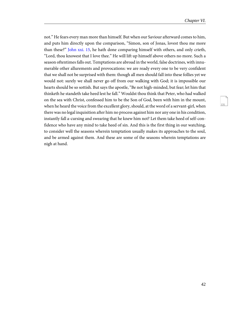<span id="page-45-1"></span><span id="page-45-0"></span>not." He fears every man more than himself. But when our Saviour afterward comes to him, and puts him directly upon the comparison, "Simon, son of Jonas, lovest thou me more than these?" [John xxi. 15](http://www.ccel.org/study/Bible:John.21.15), he hath done comparing himself with others, and only crieth, "Lord, thou knowest that I love thee." He will lift up himself above others no more. Such a season oftentimes falls out. Temptations are abroad in the world, false doctrines, with innumerable other allurements and provocations: we are ready every one to be very confident that we shall not be surprised with them: though all men should fall into these follies yet we would not: surely we shall never go off from our walking with God; it is impossible our hearts should be so sottish. But says the apostle, "Be not high-minded, but fear; let him that thinketh he standeth take heed lest he fall." Wouldst thou think that Peter, who had walked on the sea with Christ, confessed him to be the Son of God, been with him in the mount, when he heard the voice from the excellent glory, should, at the word of a servant-girl, when there was no legal inquisition after him no process against him nor any one in his condition, instantly fall a-cursing and swearing that he knew him not? Let them take heed of self-confidence who have any mind to take heed of sin. And this is the first thing in our watching, to consider well the seasons wherein temptation usually makes its approaches to the soul, and be armed against them. And these are some of the seasons wherein temptations are nigh at hand.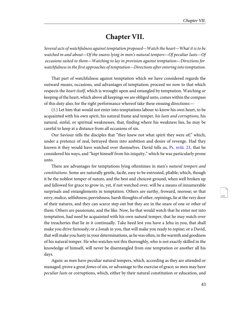## **Chapter VII.**

Several acts of watchfulness against temptation proposed—Watch the heart—What it is to be watched in and about—Of the snares lying in men's natural tempers—Of peculiar lusts—Of occasions suited to them—Watching to lay in provision against temptation—Directions for watchfulness in the first approaches of temptation—Directions after entering into temptation.

That part of watchfulness against temptation which we have considered regards the outward means, occasions, and advantages of temptation; proceed we now to that which respects the *heart itself*, which is wrought upon and entangled by temptation. Watching or keeping of the heart, which above all keepings we are obliged unto, comes within the compass of this duty also; for the right performance whereof take these ensuing directions:—

(1.) Let him that would not enter into temptations labour to know his own heart, to be acquainted with his own spirit, his natural frame and temper, his lusts and corruptions, his natural, sinful, or spiritual weaknesses, that, finding where his weakness lies, he may be careful to keep at a distance from all occasions of sin.

<span id="page-46-0"></span>Our Saviour tells the disciples that "they knew not what spirit they were of;" which, under a pretence of zeal, betrayed them into ambition and desire of revenge. Had they known it they would have watched over themselves. David tells us, [Ps. xviii. 23](http://www.ccel.org/study/Bible:Ps.18.23), that he considered his ways, and "kept himself from his iniquity," which he was particularly prone unto.

<span id="page-46-1"></span>There are advantages for temptations lying oftentimes in men's natural tempers and constitutions. Some are naturally gentle, facile, easy to be entreated, pliable; which, though it be the noblest temper of nature, and the best and choicest ground, when well broken up and fallowed for grace to grow in, yet, if not watched over, will be a means of innumerable surprisals and entanglements in temptation. Others are earthy, froward, morose; so that envy, malice, selfishness, peevishness, harsh thoughts of other, repinings, lie at the very door of their natures, and they can scarce step out but they are in the snare of one or other of them. Others are passionate, and the like. Now, he that would watch that he enter not into temptation, had need be acquainted with his own natural temper, that he may watch over the treacheries that lie in it continually. Take heed lest you have a Jehu in you, that shall make you drive furiously; or a Jonah in you, that will make you ready to repine; or a David, that will make you hasty in your determinations, as he was often, in the warmth and goodness of his natural temper. He who watches not this thoroughly, who is not exactly skilled in the knowledge of himself, will never be disentangled from one temptation or another all his days.

Again: as men have peculiar natural tempers, which, according as they are attended or managed, prove a great *fomes* of sin, or advantage to the exercise of grace; so men may have peculiar lusts or corruptions, which, either by their natural constitution or education, and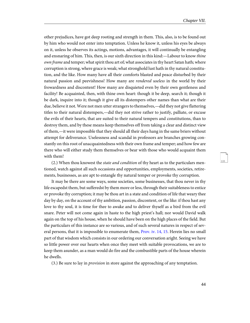other prejudices, have got deep rooting and strength in them. This, also, is to be found out by him who would not enter into temptation. Unless he know it, unless his eyes be always on it, unless he observes its actings, motions, advantages, it will continually be entangling and ensnaring of him. This, then, is our sixth direction in this kind:—Labour to know thine own frame and temper; what spirit thou art of; what associates in thy heart Satan hath; where corruption is strong, where grace is weak; what stronghold lust hath in thy natural constitution, and the like. How many have all their comforts blasted and peace disturbed by their natural passion and peevishness! How many are rendered useless in the world by their frowardness and discontent! How many are disquieted even by their own gentleness and facility! Be acquainted, then, with thine own heart: though it be deep, search it; though it be dark, inquire into it; though it give all its distempers other names than what are their due, believe it not. Were not men utter strangers to themselves,—did they not give flattering titles to their natural distempers,—did they not strive rather to justify, palliate, or excuse the evils of their hearts, that are suited to their natural tempers and constitutions, than to destroy them, and by these means keep themselves off from taking a clear and distinct view of them,—it were impossible that they should all their days hang in the same briers without attempt for deliverance. Uselessness and scandal in professors are branches growing constantly on this root of unacquaintedness with their own frame and temper; and how few are there who will either study them themselves or bear with those who would acquaint them with them!

<span id="page-47-1"></span>(2.) When thou knowest the state and condition of thy heart as to the particulars mentioned, watch against all such occasions and opportunities, employments, societies, retirements, businesses, as are apt to entangle thy natural temper or provoke thy corruption.

<span id="page-47-0"></span>It may be there are some ways, some societies, some businesses, that thou never in thy life escapedst them, but sufferedst by them more or less, through their suitableness to entice or provoke thy corruption; it may be thou art in a state and condition of life that weary thee day by day, on the account of thy ambition, passion, discontent, or the like: if thou hast any love to thy soul, it is time for thee to awake and to deliver thyself as a bird from the evil snare. Peter will not come again in haste to the high priest's hall; nor would David walk again on the top of his house, when he should have been on the high places of the field. But the particulars of this instance are so various, and of such several natures in respect of several persons, that it is impossible to enumerate them, [Prov. iv. 14, 15](http://www.ccel.org/study/Bible:Prov.4.14-Prov.4.15). Herein lies no small part of that wisdom which consists in our ordering our conversation aright. Seeing we have so little power over our hearts when once they meet with suitable provocations, we are to keep them asunder, as a man would do fire and the combustible parts of the house wherein he dwells.

(3.) Be sure to lay in provision in store against the approaching of any temptation.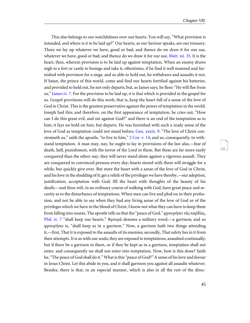<span id="page-48-7"></span><span id="page-48-6"></span><span id="page-48-5"></span><span id="page-48-4"></span><span id="page-48-3"></span><span id="page-48-2"></span><span id="page-48-1"></span><span id="page-48-0"></span>This also belongs to our watchfulness over our hearts. You will say, "What provision is intended, and where is it to be laid up?" Our hearts, as our Saviour speaks, are our treasury. There we lay up whatever we have, good or bad; and thence do we draw it for our use, whatever we have, good or bad; and thence do we draw it for our use, [Matt. xii. 35](http://www.ccel.org/study/Bible:Matt.12.35). It is the heart, then, wherein provision is to be laid up against temptation. When an enemy draws nigh to a fort or castle to besiege and take it, oftentimes, if he find it well manned and furnished with provision for a siege, and so able to hold out, he withdraws and assaults it not. If Satan, the prince of this world, come and find our hearts fortified against his batteries, and provided to hold out, he not only departs, but, as James says, he flees: "He will flee from us," [James iv. 7.](http://www.ccel.org/study/Bible:Jas.4.7) For the provision to be laid up, it is that which is provided in the gospel for us. Gospel provisions will do this work; that is, keep the heart full of a sense of the love of God in Christ. This is the greatest preservative against the power of temptation in the world. Joseph had this; and therefore, on the first appearance of temptation, he cries out, "How can I do this great evil, and sin against God?" and there is an end of the temptation as to him; it lays no hold on him, but departs. He was furnished with such a ready sense of the love of God as temptation could not stand before, [Gen. xxxix. 9](http://www.ccel.org/study/Bible:Gen.39.9). "The love of Christ con-straineth us," saith the apostle, "to live to him," [2 Cor. v. 14](http://www.ccel.org/study/Bible:2Cor.5.14); and so, consequently, to withstand temptation. A man may, nay, he ought to lay in provisions of the law also,—fear of death, hell, punishment, with the terror of the Lord in them. But these are far more easily conquered than the other; nay, they will never stand alone against a vigorous assault. They are conquered in convinced persons every day; hearts stored with them will struggle for a while, but quickly give over. But store the heart with a sense of the love of God in Christ, and his love in the shedding of it; get a relish of the privileges we have thereby,—our adoption, justification, acceptation with God; fill the heart with thoughts of the beauty of his death;—and thou wilt, in an ordinary course of walking with God, have great peace and security as to the disturbance of temptations. When men can live and plod on in their profession, and not be able to say when they had any living sense of the love of God or of the privileges which we have in the blood of Christ, I know not what they can have to keep them from falling into snares. The apostle tells us that the "peace of God," φρουρήσει τὰς καρδίας, [Phil. iv. 7](http://www.ccel.org/study/Bible:Phil.4.7) "shall keep our hearts." Φρουρά denotes a military word,—a garrison; and so φρουρήσει is, "shall keep as in a garrison." Now, a garrison hath two things attending it,—first, That it is exposed to the assaults of its enemies; secondly, That safety lies in it from their attempts. It is so with our souls; they are exposed to temptations, assaulted continually; but if there be a garrison in them, or if they be kept as in a garrison, temptation shall not enter, and consequently we shall not enter into temptation. Now, how is this done? Saith he, "The peace of God shall do it." What is this "peace of God?" A sense of his love and favour in Jesus Christ. Let this abide in you, and it shall garrison you against all assaults whatever. Besides, there is that, in an especial manner, which is also in all the rest of the direc-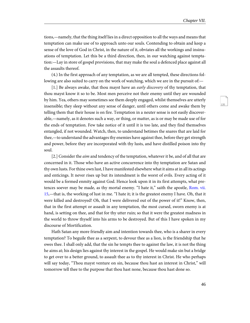tions,—namely, that the thing itself lies in a direct opposition to all the ways and means that temptation can make use of to approach unto our souls. Contending to obtain and keep a sense of the love of God in Christ, in the nature of it, obviates all the workings and insinuations of temptation. Let this be a third direction, then, in our watching against temptation:—Lay in store of gospel provisions, that may make the soul a defenced place against all the assaults thereof.

(4.) In the first approach of any temptation, as we are all tempted, these directions following are also suited to carry on the work of watching, which we are in the pursuit of:—

<span id="page-49-1"></span>[1.] Be always awake, that thou mayst have an early discovery of thy temptation, that thou mayst know it so to be. Most men perceive not their enemy until they are wounded by him. Yea, others may sometimes see them deeply engaged, whilst themselves are utterly insensible; they sleep without any sense of danger, until others come and awake them by telling them that their house is on fire. Temptation in a neuter sense is not easily discoverable,—namely, as it denotes such a way, or thing, or matter, as is or may be made use of for the ends of temptation. Few take notice of it until it is too late, and they find themselves entangled, if not wounded. Watch, then, to understand betimes the snares that are laid for thee,—to understand the advantages thy enemies have against thee, before they get strength and power, before they are incorporated with thy lusts, and have distilled poison into thy soul.

<span id="page-49-0"></span>[2.] Consider the aim and tendency of the temptation, whatever it be, and of all that are concerned in it. Those who have an active concurrence into thy temptation are Satan and thy own lusts. For thine own lust, I have manifested elsewhere what it aims at in all its actings and enticings. It never rises up but its intendment is the worst of evils. Every acting of it would be a formed enmity against God. Hence look upon it in its first attempts, what pre-tences soever may be made, as thy mortal enemy. "I hate it," saith the apostle, [Rom. vii.](http://www.ccel.org/study/Bible:Rom.7.15) [15,](http://www.ccel.org/study/Bible:Rom.7.15)—that is, the working of lust in me. "I hate it; it is the greatest enemy I have. Oh, that it were killed and destroyed! Oh, that I were delivered out of the power of it!" Know, then, that in the first attempt or assault in any temptation, the most cursed, sworn enemy is at hand, is setting on thee, and that for thy utter ruin; so that it were the greatest madness in the world to throw thyself into his arms to be destroyed. But of this I have spoken in my discourse of Mortification.

Hath Satan any more friendly aim and intention towards thee, who is a sharer in every temptation? To beguile thee as a serpent, to devour thee as a lion, is the friendship that he owes thee. I shall only add, that the sin he tempts thee to against the law, it is not the thing he aims at; his design lies against thy interest in the gospel. He would make sin but a bridge to get over to a better ground, to assault thee as to thy interest in Christ. He who perhaps will say today, "Thou mayst venture on sin, because thou hast an interest in Christ," will tomorrow tell thee to the purpose that thou hast none, because thou hast done so.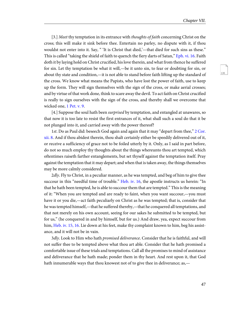<span id="page-50-5"></span><span id="page-50-1"></span>[3.] Meet thy temptation in its entrance with thoughts of faith concerning Christ on the cross; this will make it sink before thee. Entertain no parley, no dispute with it, if thou wouldst not enter into it. Say, " 'It is Christ that died,'—that died for such sins as these." This is called "taking the shield of faith to quench the fiery darts of Satan," [Eph. vi. 16.](http://www.ccel.org/study/Bible:Eph.6.16) Faith doth it by laying hold on Christ crucified, his love therein, and what from thence he suffered for sin. Let thy temptation be what it will,—be it unto sin, to fear or doubting for sin, or about thy state and condition,—it is not able to stand before faith lifting up the standard of the cross. We know what means the Papists, who have lost the power of faith, use to keep up the form. They will sign themselves with the sign of the cross, or make aerial crosses; and by virtue of that work done, think to scare away the devil. To act faith on Christ crucified is really to sign ourselves with the sign of the cross, and thereby shall we overcome that wicked one, [1 Pet. v. 9](http://www.ccel.org/study/Bible:1Pet.5.9).

<span id="page-50-4"></span><span id="page-50-0"></span>[4.] Suppose the soul hath been *surprised* by temptation, and entangled at unawares, so that now it is too late to resist the first entrances of it, what shall such a soul do that it be not plunged into it, and carried away with the power thereof?

1st. Do as Paul did: beseech God again and again that it may "depart from thee," [2 Cor.](http://www.ccel.org/study/Bible:2Cor.12.8) [xii. 8](http://www.ccel.org/study/Bible:2Cor.12.8). And if thou abidest therein, thou shalt certainly either be speedily delivered out of it, or receive a sufficiency of grace not to be foiled utterly by it. Only, as I said in part before, do not so much employ thy thoughts about the things whereunto thou art tempted, which oftentimes raiseth farther entanglements, but set thyself against the temptation itself. Pray against the temptation that it may depart; and when that is taken away, the things themselves may be more calmly considered.

<span id="page-50-3"></span><span id="page-50-2"></span>2*dly*. Fly to Christ, in a peculiar manner, as he was tempted, and beg of him to give thee succour in this "needful time of trouble." [Heb. iv. 16](http://www.ccel.org/study/Bible:Heb.4.16), the apostle instructs us herein: "In that he hath been tempted, he is able to succour them that are tempted." This is the meaning of it: "When you are tempted and are ready to faint, when you want succour,—you must have it or you die,—act faith peculiarly on Christ as he was tempted; that is, consider that he was tempted himself,—that he suffered thereby,—that he conquered all temptations, and that not merely on his own account, seeing for our sakes he submitted to be tempted, but for us," (he conquered in and by himself, but for us.) And draw, yea, expect succour from him, [Heb. iv. 15, 16.](http://www.ccel.org/study/Bible:Heb.4.15-Heb.4.16) Lie down at his feet, make thy complaint known to him, beg his assistance, and it will not be in vain.

3dly. Look to Him who hath *promised deliverance*. Consider that he is faithful, and will not suffer thee to be tempted above what thou art able. Consider that he hath promised a comfortable issue of these trials and temptations. Call all the promises to mind of assistance and deliverance that he hath made; ponder them in thy heart. And rest upon it, that God hath innumerable ways that thou knowest not of to give thee in deliverance; as,—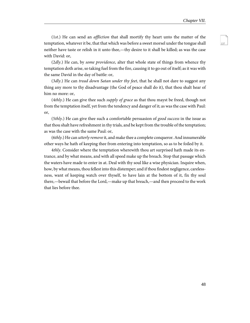<span id="page-51-0"></span>(1st.) He can send an affliction that shall mortify thy heart unto the matter of the temptation, whatever it be, that that which was before a sweet morsel under the tongue shall neither have taste or relish in it unto thee,—thy desire to it shall be killed; as was the case with David: or,

(2*dly*.) He can, by *some providence*, alter that whole state of things from whence thy temptation doth arise, so taking fuel from the fire, causing it to go out of itself; as it was with the same David in the day of battle: or,

 $(3dly.)$  He can tread down Satan under thy feet, that he shall not dare to suggest any thing any more to thy disadvantage (the God of peace shall do it), that thou shalt hear of him no more: or,

(4thly.) He can give thee such *supply of grace* as that thou mayst be freed, though not from the temptation itself, yet from the tendency and danger of it; as was the case with Paul: or,

(5thly.) He can give thee such a comfortable persuasion of good success in the issue as that thou shalt have refreshment in thy trials, and be kept from the trouble of the temptation; as was the case with the same Paul: or,

(6thly.) He can utterly remove it, and make thee a complete conqueror. And innumerable other ways he hath of keeping thee from entering into temptation, so as to be foiled by it.

4thly. Consider where the temptation wherewith thou art surprised hath made its entrance, and by what means, and with all speed make up the breach. Stop that passage which the waters have made to enter in at. Deal with thy soul like a wise physician. Inquire when, how, by what means, thou fellest into this distemper; and if thou findest negligence, carelessness, want of keeping watch over thyself, to have lain at the bottom of it, fix thy soul there,—bewail that before the Lord,—make up that breach,—and then proceed to the work that lies before thee.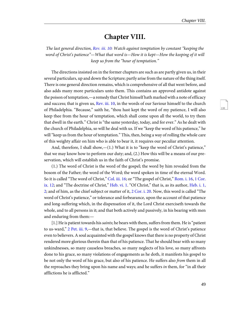## <span id="page-52-6"></span>**Chapter VIII.**

<span id="page-52-4"></span>The last general direction, [Rev. iii. 10](http://www.ccel.org/study/Bible:Rev.3.10): Watch against temptation by constant "keeping the word of Christ's patience"—What that word is—How it is kept—How the keeping of it will keep us from the "hour of temptation."

<span id="page-52-5"></span>The directions insisted on in the former chapters are such as are partly given us, in their several particulars, up and down the Scripture; partly arise from the nature of the thing itself. There is one general direction remains, which is comprehensive of all that went before, and also adds many more particulars unto them. This contains an approved antidote against the poison of temptation,—a remedy that Christ himself hath marked with a note of efficacy and success; that is given us, [Rev. iii. 10](http://www.ccel.org/study/Bible:Rev.3.10), in the words of our Saviour himself to the church of Philadelphia. "Because," saith he, "thou hast kept the word of my patience, I will also keep thee from the hour of temptation, which shall come upon all the world, to try them that dwell in the earth." Christ is "the same yesterday, today, and for ever." As he dealt with the church of Philadelphia, so will he deal with us. If we "keep the word of his patience," he will "keep us from the hour of temptation." This, then, being a way of rolling the whole care of this weighty affair on him who is able to bear it, it requires our peculiar attention.

And, therefore, I shall show, $-(1)$  What it is to "keep the word of Christ's patience," that we may know how to perform our duty; and, (2.) How this will be a means of our preservation, which will establish us in the faith of Christ's promise.

<span id="page-52-2"></span><span id="page-52-1"></span><span id="page-52-0"></span>(1.) The word of Christ is the word of the gospel; the word by him revealed from the bosom of the Father; the word of the Word; the word spoken in time of the eternal Word. So it is called "The word of Christ," [Col. iii. 16;](http://www.ccel.org/study/Bible:Col.3.16) or "The gospel of Christ," [Rom. i. 16](http://www.ccel.org/study/Bible:Rom.1.16), [1 Cor.](http://www.ccel.org/study/Bible:1Cor.9.12) [ix. 12;](http://www.ccel.org/study/Bible:1Cor.9.12) and "The doctrine of Christ," [Heb. vi. 1.](http://www.ccel.org/study/Bible:Heb.6.1) "Of Christ," that is, as its author, [Heb. i. 1,](http://www.ccel.org/study/Bible:Heb.1.1-Heb.1.2) [2](http://www.ccel.org/study/Bible:Heb.1.1-Heb.1.2); and of him, as the chief subject or matter of it, [2 Cor. i. 20.](http://www.ccel.org/study/Bible:2Cor.1.20) Now, this word is called "The word of Christ's patience," or tolerance and forbearance, upon the account of that patience and long-suffering which, in the dispensation of it, the Lord Christ exerciseth towards the whole, and to all persons in it; and that both actively and passively, in his bearing with men and enduring from them:—

<span id="page-52-3"></span>[1.] He is patient towards his saints; he bears with them, suffers from them. He is "patient to us-ward," [2 Pet. iii. 9](http://www.ccel.org/study/Bible:2Pet.3.9),—that is, that believe. The gospel is the word of Christ's patience even to believers. A soul acquainted with the gospel knows that there is no property of Christ rendered more glorious therein than that of his patience. That he should bear with so many unkindnesses, so many causeless breaches, so many neglects of his love, so many affronts done to his grace, so many violations of engagements as he doth, it manifests his gospel to be not only the word of his grace, but also of his patience. He suffers also *from* them in all the reproaches they bring upon his name and ways; and he suffers in them, for "in all their afflictions he is afflicted."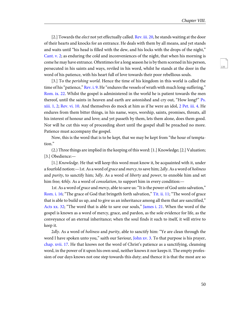<span id="page-53-10"></span><span id="page-53-9"></span><span id="page-53-1"></span>[2.] Towards the *elect* not yet effectually called. [Rev. iii. 20](http://www.ccel.org/study/Bible:Rev.3.20), he stands waiting at the door of their hearts and knocks for an entrance. He deals with them by all means, and yet stands and waits until "his head is filled with the dew, and his locks with the drops of the night," [Cant. v. 2](http://www.ccel.org/study/Bible:Song.5.2); as enduring the cold and inconveniences of the night, that when his morning is come he may have entrance. Oftentimes for a long season he is by them scorned in his person, persecuted in his saints and ways, reviled in his word, whilst he stands at the door in the word of his patience, with his heart full of love towards their poor rebellious souls.

<span id="page-53-8"></span><span id="page-53-7"></span><span id="page-53-6"></span><span id="page-53-0"></span>[3.] To the *perishing world*. Hence the time of his kingdom in this world is called the time of his "patience," [Rev. i. 9](http://www.ccel.org/study/Bible:Rev.1.9). He "endures the vessels of wrath with much long-suffering," [Rom. ix. 22.](http://www.ccel.org/study/Bible:Rom.9.22) Whilst the gospel is administered in the world he is patient towards the men thereof, until the saints in heaven and earth are astonished and cry out, "How long?" [Ps.](http://www.ccel.org/study/Bible:Ps.13.1-Ps.13.2) [xiii. 1, 2](http://www.ccel.org/study/Bible:Ps.13.1-Ps.13.2); [Rev. vi. 10.](http://www.ccel.org/study/Bible:Rev.6.10) And themselves do mock at him as if he were an idol, [2 Pet. iii. 4.](http://www.ccel.org/study/Bible:2Pet.3.4) He endures from them bitter things, in his name, ways, worship, saints, promises, threats, all his interest of honour and love; and yet passeth by them, lets them alone, does them good. Nor will he cut this way of proceeding short until the gospel shall be preached no more. Patience must accompany the gospel.

Now, this is the word that is to be kept, that we may be kept from "the hour of temptation."

(2.) Three things are implied in the keeping of this word: [1.] Knowledge; [2.] Valuation; [3.] Obedience:—

<span id="page-53-5"></span>[1.] Knowledge. He that will keep this word must know it, be acquainted with it, under a fourfold notion:—1st. As a word of grace and mercy, to save him; 2dly. As a word of holiness and *purity*, to sanctify him; 3*dly*. As a word of *liberty* and *power*, to ennoble him and set him free; 4thly. As a word of consolation, to support him in every condition:-

<span id="page-53-4"></span>1st. As a word of grace and mercy, able to save us: "It is the power of God unto salvation," [Rom. i. 16;](http://www.ccel.org/study/Bible:Rom.1.16) "The grace of God that bringeth forth salvation," [Tit. ii. 11](http://www.ccel.org/study/Bible:Titus.2.11); "The word of grace that is able to build us up, and to give us an inheritance among all them that are sanctified," [Acts xx. 32](http://www.ccel.org/study/Bible:Acts.20.32); "The word that is able to save our souls," [James i. 21.](http://www.ccel.org/study/Bible:Jas.1.21) When the word of the gospel is known as a word of mercy, grace, and pardon, as the sole evidence for life, as the conveyance of an eternal inheritance; when the soul finds it such to itself, it will strive to keep it.

<span id="page-53-3"></span><span id="page-53-2"></span>2*dly*. As a word of *holiness* and *purity*, able to sanctify him: "Ye are clean through the word I have spoken unto you," saith our Saviour, [John xv. 3](http://www.ccel.org/study/Bible:John.15.3). To that purpose is his prayer, [chap. xvii. 17.](http://www.ccel.org/study/Bible:John.17.17) He that knows not the word of Christ's patience as a sanctifying, cleansing word, in the power of it upon his own soul, neither knows it nor keeps it. The empty profession of our days knows not one step towards this duty; and thence it is that the most are so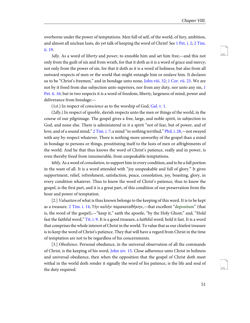<span id="page-54-8"></span><span id="page-54-5"></span>overborne under the power of temptations. Men full of self, of the world, of fury, ambition, and almost all unclean lusts, do yet talk of keeping the word of Christ! See [1 Pet. i. 2](http://www.ccel.org/study/Bible:1Pet.1.2); [2 Tim.](http://www.ccel.org/study/Bible:2Tim.2.19) [ii. 19.](http://www.ccel.org/study/Bible:2Tim.2.19)

<span id="page-54-7"></span><span id="page-54-0"></span>3*dly*. As a word of *liberty* and *power*, to ennoble him and set him free;—and this not only from the guilt of sin and from wrath, for that it doth as it is a word of grace and mercy; not only from the power of sin, for that it doth as it is a word of holiness; but also from all outward respects of men or the world that might entangle him or enslave him. It declares us to be "Christ's freemen," and in bondage unto none, [John viii. 32](http://www.ccel.org/study/Bible:John.8.32); [1 Cor. vii. 23.](http://www.ccel.org/study/Bible:1Cor.7.23) We are not by it freed from due subjection unto superiors, nor from any duty, nor unto any sin, [1](http://www.ccel.org/study/Bible:1Pet.2.16) [Pet. ii. 16](http://www.ccel.org/study/Bible:1Pet.2.16); but in two respects it is a word of freedom, liberty, largeness of mind, power and deliverance from bondage:—

<span id="page-54-2"></span>(1st.) In respect of *conscience* as to the worship of God, [Gal. v. 1.](http://www.ccel.org/study/Bible:Gal.5.1)

<span id="page-54-3"></span>(2dly.) In respect of ignoble, slavish respects unto the men or things of the world, in the course of our pilgrimage. The gospel gives a free, large, and noble spirit, in subjection to God, and none else. There is administered in it a spirit "not of fear, but of power, and of love, and of a sound mind," [2 Tim. i. 7](http://www.ccel.org/study/Bible:2Tim.1.7); a mind "in nothing terrified," [Phil. i. 28,](http://www.ccel.org/study/Bible:Phil.1.28)—not swayed with any by-respect whatever. There is nothing more unworthy of the gospel than a mind in bondage to persons or things, prostituting itself to the lusts of men or affrightments of the world. And he that thus knows the word of Christ's patience, really and in power, is even thereby freed from innumerable, from unspeakable temptations.

4thly. As a word of consolation, to support him in every condition, and to be a full portion in the want of all. It is a word attended with "joy unspeakable and full of glory." It gives supportment, relief, refreshment, satisfaction, peace, consolation, joy, boasting, glory, in every condition whatever. Thus to know the word of Christ's patience, thus to know the gospel, is the first part, and it is a great part, of this condition of our preservation from the hour and power of temptation.

<span id="page-54-6"></span><span id="page-54-4"></span>[2.] Valuation of what is thus known belongs to the keeping of this word. It is to be kept as a treasure. [2 Tim. i. 14,](http://www.ccel.org/study/Bible:2Tim.1.14) Τὴν καλὴν παρακαταθήκην,—that excellent "depositum" (that is, the word of the gospel),—"keep it," saith the apostle, "by the Holy Ghost;" and, "Hold fast the faithful word," [Tit. i. 9](http://www.ccel.org/study/Bible:Titus.1.9). It is a good treasure, a faithful word; hold it fast. It is a word that comprises the whole interest of Christ in the world. To value that as our chiefest treasure is to keep the word of Christ's patience. They that will have a regard from Christ in the time of temptation are not to be regardless of his concernments.

<span id="page-54-9"></span><span id="page-54-1"></span>[3.] Obedience. Personal obedience, in the universal observation of all the commands of Christ, is the keeping of his word, [John xiv. 15.](http://www.ccel.org/study/Bible:John.14.15) Close adherence unto Christ in holiness and universal obedience, then when the opposition that the gospel of Christ doth meet withal in the world doth render it signally the word of his patience, is the life and soul of the duty required.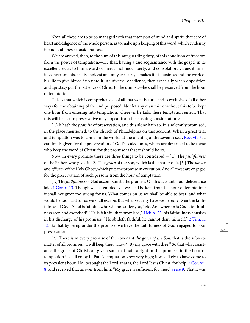Now, all these are to be so managed with that intension of mind and spirit, that care of heart and diligence of the whole person, as to make up a keeping of this word; which evidently includes all these considerations.

We are arrived, then, to the sum of this safeguarding duty, of this condition of freedom from the power of temptation:—He that, having a due acquaintance with the gospel in its excellencies, as to him a word of mercy, holiness, liberty, and consolation, values it, in all its concernments, as his choicest and only treasure,—makes it his business and the work of his life to give himself up unto it in universal obedience, then especially when opposition and apostasy put the patience of Christ to the utmost,—he shall be preserved from the hour of temptation.

This is that which is comprehensive of all that went before, and is exclusive of all other ways for the obtaining of the end purposed. Nor let any man think without this to be kept one hour from entering into temptation; wherever he fails, there temptation enters. That this will be a sure preservative may appear from the ensuing considerations:—

<span id="page-55-4"></span>(1.) It hath the promise of preservation, and this alone hath so. It is solemnly promised, in the place mentioned, to the church of Philadelphia on this account. When a great trial and temptation was to come on the world, at the opening of the seventh seal, [Rev. vii. 3,](http://www.ccel.org/study/Bible:Rev.7.3) a caution is given for the preservation of God's sealed ones, which are described to be those who keep the word of Christ; for the promise is that it should be so.

<span id="page-55-0"></span>Now, in every promise there are three things to be considered:—[1.] The faithfulness of the Father, who gives it. [2.] The grace of the Son, which is the matter of it. [3.] The power and *efficacy* of the Holy Ghost, which puts the promise in execution. And all these are engaged for the preservation of such persons from the hour of temptation.

<span id="page-55-5"></span><span id="page-55-3"></span><span id="page-55-2"></span>[1.] The faithfulness of God accompanieth the promise. On this account is our deliverance laid, [1 Cor. x. 13](http://www.ccel.org/study/Bible:1Cor.10.13). Though we be tempted, yet we shall be kept from the hour of temptation; it shall not grow too strong for us. What comes on us we shall be able to bear; and what would be too hard for us we shall escape. But what security have we hereof? Even the faithfulness of God: "God is faithful, who will not suffer you," etc. And wherein is God's faithfulness seen and exercised? "He is faithful that promised," [Heb. x. 23;](http://www.ccel.org/study/Bible:Heb.10.23) his faithfulness consists in his discharge of his promises. "He abideth faithful: he cannot deny himself," [2 Tim. ii.](http://www.ccel.org/study/Bible:2Tim.2.13) [13.](http://www.ccel.org/study/Bible:2Tim.2.13) So that by being under the promise, we have the faithfulness of God engaged for our preservation.

<span id="page-55-1"></span>[2.] There is in every promise of the covenant the grace of the Son; that is the subjectmatter of all promises: "I will keep thee." How? "By my grace with thee." So that what assistance the grace of Christ can give a soul that hath a right in this promise, in the hour of temptation it shall enjoy it. Paul's temptation grew very high; it was likely to have come to its prevalent hour. He "besought the Lord, that is, the Lord Jesus Christ, for help, [2 Cor. xii.](http://www.ccel.org/study/Bible:2Cor.12.8) [8](http://www.ccel.org/study/Bible:2Cor.12.8); and received that answer from him, "My grace is sufficient for thee," [verse 9.](http://www.ccel.org/study/) That it was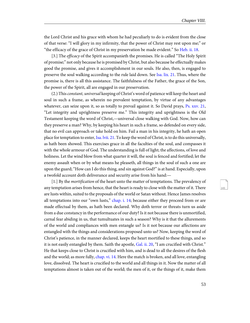<span id="page-56-6"></span>the Lord Christ and his grace with whom he had peculiarly to do is evident from the close of that verse: "I will glory in my infirmity, that the power of Christ may rest upon me;" or "the efficacy of the grace of Christ in my preservation be made evident." So [Heb. ii. 18](http://www.ccel.org/study/Bible:Heb.2.18).

<span id="page-56-3"></span>[3.] The efficacy of the Spirit accompanieth the promises. He is called "The Holy Spirit of promise;" not only because he is promised by Christ, but also because he effectually makes good the promise, and gives it accomplishment in our souls. He also, then, is engaged to preserve the soul walking according to the rule laid down. See [Isa. lix. 21.](http://www.ccel.org/study/Bible:Isa.59.21) Thus, where the promise is, there is all this assistance. The faithfulness of the Father, the grace of the Son, the power of the Spirit, all are engaged in our preservation.

<span id="page-56-2"></span><span id="page-56-0"></span>(2.) This constant, universal keeping of Christ's word of patience will keep the heart and soul in such a frame, as wherein no prevalent temptation, by virtue of any advantages whatever, can seize upon it, so as totally to prevail against it. So David prays, [Ps. xxv. 21,](http://www.ccel.org/study/Bible:Ps.25.21) "Let integrity and uprightness preserve me." This integrity and uprightness is the Old Testament keeping the word of Christ,—universal close walking with God. Now, how can they preserve a man? Why, by keeping his heart in such a frame, so defended on every side, that no evil can approach or take hold on him. Fail a man in his integrity, he hath an open place for temptation to enter, [Isa. lvii. 21.](http://www.ccel.org/study/Bible:Isa.57.21) To keep the word of Christ, is to do this universally, as hath been showed. This exercises grace in all the faculties of the soul, and compasses it with the whole armour of God. The understanding is full of light; the affections, of love and holiness. Let the wind blow from what quarter it will, the soul is fenced and fortified; let the enemy assault when or by what means he pleaseth, all things in the soul of such a one are upon the guard; "How can I do this thing, and sin against God?" is at hand. Especially, upon a twofold account doth deliverance and security arise from his hand:—

<span id="page-56-7"></span><span id="page-56-5"></span><span id="page-56-4"></span><span id="page-56-1"></span>[1.] By the mortification of the heart unto the matter of temptations. The prevalency of any temptation arises from hence, that the heart is ready to close with the matter of it. There are lusts within, suited to the proposals of the world or Satan without. Hence James resolves all temptations into our "own lusts," [chap. i. 14](http://www.ccel.org/study/Bible:Isa.1.14); because either they proceed from or are made effectual by them, as hath been declared. Why doth terror or threats turn us aside from a due constancy in the performance of our duty? Is it not because there is unmortified, carnal fear abiding in us, that tumultuates in such a season? Why is it that the allurements of the world and compliances with men entangle us? Is it not because our affections are entangled with the things and considerations proposed unto us? Now, keeping the word of Christ's patience, in the manner declared, keeps the heart mortified to these things, and so it is not easily entangled by them. Saith the apostle, [Gal. ii. 20,](http://www.ccel.org/study/Bible:Gal.2.20) "I am crucified with Christ." He that keeps close to Christ is crucified with him, and is dead to all the desires of the flesh and the world; as more fully, [chap. vi. 14](http://www.ccel.org/study/Bible:Gal.6.14). Here the match is broken, and all love, entangling love, dissolved. The heart is crucified to the world and all things in it. Now the matter of all temptations almost is taken out of the world; the men of it, or the things of it, make them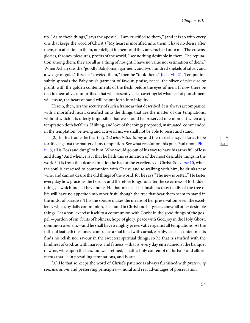<span id="page-57-0"></span>up. "As to these things," says the apostle, "I am crucified to them," (and it is so with every one that keeps the word of Christ.) "My heart is mortified unto them. I have no desire after them, nor affection to them, nor delight in them, and they are crucified unto me. The crowns, glories, thrones, pleasures, profits of the world, I see nothing desirable in them. The reputation among them, they are all as a thing of nought. I have no value nor estimation of them." When Achan saw the "goodly Babylonian garment, and two hundred shekels of silver, and a wedge of gold," first he "coveted them," then he "took them," [Josh. vii. 21](http://www.ccel.org/study/Bible:Josh.7.21). Temptation subtly spreads the Babylonish garment of favour, praise, peace, the silver of pleasure or profit, with the golden contentments of the flesh, before the eyes of men. If now there be that in them alive, unmortified, that will presently fall a-coveting; let what fear of punishment will ensue, the heart of hand will be put forth into iniquity.

Herein, then, lies the security of such a frame as that described: It is always accompanied with a mortified heart, crucified unto the things that are the matter of our temptations; without which it is utterly impossible that we should be preserved one moment when any temptation doth befall us. If liking, and love of the things proposed, insinuated, commended in the temptation, be living and active in us, we shall not be able to resist and stand.

<span id="page-57-2"></span><span id="page-57-1"></span>[2.] In this frame the heart is filled with better things and their excellency, so far as to be fortified against the matter of any temptation. See what resolution this puts Paul upon, [Phil.](http://www.ccel.org/study/Bible:Phil.3.8) [iii. 8;](http://www.ccel.org/study/Bible:Phil.3.8) all is "loss and dung" to him. Who would go out of his way to have his arms full of loss and dung? And whence is it that he hath this estimation of the most desirable things in the world? It is from that dear estimation he had of the excellency of Christ. So, [verse 10](http://www.ccel.org/study/), when the soul is exercised to communion with Christ, and to walking with him, he drinks new wine, and cannot desire the old things of the world, for he says "The new is better." He tastes every day how gracious the Lord is; and therefore longs not after the sweetness of forbidden things,—which indeed have none. He that makes it his business to eat daily of the tree of life will have no appetite unto other fruit, though the tree that bear them seem to stand in the midst of paradise. This the spouse makes the means of her preservation; even the excellency which, by daily communion, she found in Christ and his graces above all other desirable things. Let a soul exercise itself to a communion with Christ in the good things of the gospel,—pardon of sin, fruits of holiness, hope of glory, peace with God, joy in the Holy Ghost, dominion over sin,—and he shall have a mighty preservative against all temptations. As the full soul loatheth the honey-comb,—as a soul filled with carnal, earthly, sensual contentments finds no relish nor savour in the sweetest spiritual things; so he that is satisfied with the kindness of God, as with marrow and fatness,—that is, every day entertained at the banquet of wine, wine upon the lees, and well refined,—hath a holy contempt of the baits and allurements that lie in prevailing temptations, and is safe.

(3.) He that so keeps the word of Christ's patience is always furnished with preserving considerations and preserving principles,—moral and real advantages of preservation.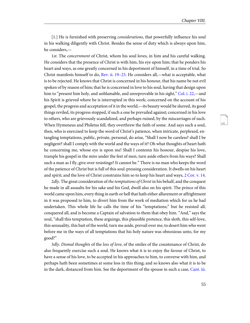[1.] He is furnished with preserving considerations, that powerfully influence his soul in his walking diligently with Christ. Besides the sense of duty which is always upon him, he considers,—

<span id="page-58-4"></span><span id="page-58-3"></span><span id="page-58-2"></span>1st. The concernment of Christ, whom his soul loves, in him and his careful walking. He considers that the presence of Christ is with him, his eye upon him; that he ponders his heart and ways, as one greatly concerned in his deportment of himself, in a time of trial. So Christ manifests himself to do, [Rev. ii. 19–23.](http://www.ccel.org/study/Bible:Rev.2.19-Rev.2.23) He considers all,—what is acceptable, what is to be rejected. He knows that Christ is concerned in his honour, that his name be not evil spoken of by reason of him; that he is concerned in love to his soul, having that design upon him to "present him holy, and unblamable, and unreprovable in his sight," [Col. i. 22,](http://www.ccel.org/study/Bible:Col.1.22)—and his Spirit is grieved where he is interrupted in this work; concerned on the account of his gospel, the progress and acceptation of it in the world,—its beauty would be slurred, its good things reviled, its progress stopped, if such a one be prevailed against; concerned in his love to others, who are grievously scandalized, and perhaps ruined, by the miscarriages of such. When Hymeneus and Philetus fell, they overthrew the faith of some. And says such a soul, then, who is exercised to keep the word of Christ's patience, when intricate, perplexed, entangling temptations, public, private, personal, do arise, "Shall I now be careless? shall I be negligent? shall I comply with the world and the ways of it? Oh what thoughts of heart hath he concerning me, whose eye is upon me! Shall I contemn his honour, despise his love, trample his gospel in the mire under the feet of men, turn aside others from his ways? Shall such a man as I fly, give over resistings? It cannot be." There is no man who keeps the word of the patience of Christ but is full of this soul-pressing consideration. It dwells on his heart and spirit; and the love of Christ constrains him so to keep his heart and ways, [2 Cor. v. 14.](http://www.ccel.org/study/Bible:2Cor.5.14)

<span id="page-58-1"></span>2dly. The great consideration of the temptations of Christ in his behalf, and the conquest he made in all assaults for his sake and his God, dwell also on his spirit. The prince of this world came upon him, every thing in earth or hell that hath either allurement or affrightment in it was proposed to him, to divert him from the work of mediation which for us he had undertaken. This whole life he calls the time of his "temptations;" but he resisted all, conquered all, and is become a Captain of salvation to them that obey him. "And," says the soul, "shall this temptation, these arguings, this plausible pretence, this sloth, this self-love, this sensuality, this bait of the world, turn me aside, prevail over me, to desert him who went before me in the ways of all temptations that his holy nature was obnoxious unto, for my good?"

<span id="page-58-0"></span>3dly. Dismal thoughts of the loss of love, of the smiles of the countenance of Christ, do also frequently exercise such a soul. He knows what it is to enjoy the favour of Christ, to have a sense of his love, to be accepted in his approaches to him, to converse with him, and perhaps hath been sometimes at some loss in this thing; and so knows also what it is to be in the dark, distanced from him. See the deportment of the spouse in such a case, [Cant. iii.](http://www.ccel.org/study/Bible:Song.3.4)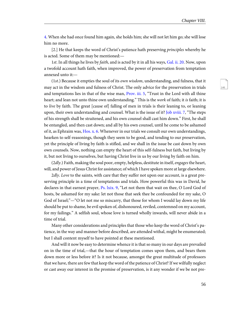[4](http://www.ccel.org/study/Bible:Song.3.4). When she had once found him again, she holds him; she will not let him go; she will lose him no more.

<span id="page-59-4"></span>[2.] He that keeps the word of Christ's patience hath preserving principles whereby he is acted. Some of them may be mentioned:—

1st. In all things he lives by faith, and is acted by it in all his ways, [Gal. ii. 20](http://www.ccel.org/study/Bible:Gal.2.20). Now, upon a twofold account hath faith, when improved, the power of preservation from temptation annexed unto it:—

<span id="page-59-5"></span><span id="page-59-3"></span><span id="page-59-2"></span><span id="page-59-0"></span>(1st.) Because it empties the soul of its *own wisdom*, understanding, and fulness, that it may act in the wisdom and fulness of Christ. The only advice for the preservation in trials and temptations lies in that of the wise man, [Prov. iii. 5](http://www.ccel.org/study/Bible:Prov.3.5), "Trust in the Lord with all thine heart; and lean not unto thine own understanding." This is the work of faith; it is faith; it is to live by faith. The great [cause of] falling of men in trials is their leaning to, or leaning upon, their own understanding and counsel. What is the issue of it? [Job xviii. 7](http://www.ccel.org/study/Bible:Job.18.7), "The steps of his strength shall be straitened, and his own counsel shall cast him down." First, he shall be entangled, and then cast down; and all by his own counsel, until he come to be ashamed of it, as Ephraim was, [Hos. x. 6](http://www.ccel.org/study/Bible:Hos.10.6). Whenever in our trials we consult our own understandings, hearken to self-reasonings, though they seem to be good, and tending to our preservation, yet the principle of living by faith is stifled, and we shall in the issue be cast down by own own counsels. Now, nothing can empty the heart of this self-fulness but faith, but living by it, but not living to ourselves, but having Christ live in us by our living by faith on him.

<span id="page-59-1"></span>(2dly.) Faith, making the soul poor, empty, helpless, destitute in itself, engages the heart, will, and power of Jesus Christ for assistance; of which I have spoken more at large elsewhere.

2*dly. Love* to the saints, with care that they suffer not upon our account, is a great preserving principle in a time of temptations and trials. How powerful this was in David, he declares in that earnest prayer, [Ps. lxix. 9](http://www.ccel.org/study/Bible:Ps.69.9), "Let not them that wait on thee, O Lord God of hosts, be ashamed for my sake: let not those that seek thee be confounded for my sake, O God of Israel;"—"O let not me so miscarry, that those for whom I would lay down my life should be put to shame, be evil spoken of, dishonoured, reviled, contemned on my account, for my failings." A selfish soul, whose love is turned wholly inwards, will never abide in a time of trial.

Many other considerations and principles that those who keep the word of Christ's patience, in the way and manner before described, are attended withal, might be enumerated; but I shall content myself to have pointed at these mentioned.

And will it now be easy to determine whence it is that so many in our days are prevailed on in the time of trial,—that the hour of temptation comes upon them, and bears them down more or less before it? Is it not because, amongst the great multitude of professors that we have, there are few that keep the word of the patience of Christ? If we wilfully neglect or cast away our interest in the promise of preservation, is it any wonder if we be not pre-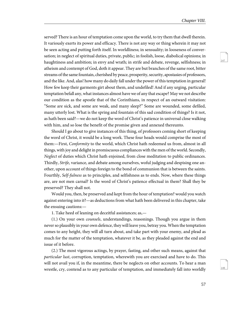<span id="page-60-0"></span>served? There is an hour of temptation come upon the world, to try them that dwell therein. It variously exerts its power and efficacy. There is not any way or thing wherein it may not be seen acting and putting forth itself. In worldliness; in sensuality; in looseness of conversation; in neglect of spiritual duties, private, public; in foolish, loose, diabolical opinions; in haughtiness and ambition; in envy and wrath; in strife and debate, revenge, selfishness; in atheism and contempt of God, doth it appear. They are but branches of the same root, bitter streams of the same fountain, cherished by peace, prosperity, security, apostasies of professors, and the like. And, alas! how many do daily fall under the power of this temptation in general! How few keep their garments girt about them, and undefiled! And if any urging, particular temptation befall any, what instances almost have we of any that escape? May we not describe our condition as the apostle that of the Corinthians, in respect of an outward visitation: "Some are sick, and some are weak, and many sleep?" Some are wounded, some defiled, many utterly lost. What is the spring and fountain of this sad condition of things? Is it not, as hath been said?—we do not keep the word of Christ's patience in universal close walking with him, and so lose the benefit of the promise given and annexed thereunto.

Should I go about to give instances of this thing, of professors coming short of keeping the word of Christ, it would be a long work. These four heads would comprise the most of them:—First, *Conformity* to the world, which Christ hath redeemed us from, almost in all things, with joy and delight in promiscuous compliances with the men of the world. Secondly, Neglect of duties which Christ hath enjoined, from close meditation to public ordinances. Thirdly, Strife, variance, and debate among ourselves, woful judging and despising one another, upon account of things foreign to the bond of communion that is between the saints. Fourthly, Self-fulness as to principles, and selfishness as to ends. Now, where these things are, are not men carnal? Is the word of Christ's patience effectual in them? Shall they be preserved? They shall not.

Would you, then, be preserved and kept from the hour of temptation? would you watch against entering into it?—as deductions from what hath been delivered in this chapter, take the ensuing cautions:—

<span id="page-60-1"></span>1. Take heed of leaning on deceitful assistances; as,—

(1.) On your own counsels, understandings, reasonings. Though you argue in them never so plausibly in your own defence, they will leave you, betray you. When the temptation comes to any height, they will all turn about, and take part with your enemy, and plead as much for the matter of the temptation, whatever it be, as they pleaded against the end and issue of it before.

(2.) The most vigorous actings, by prayer, fasting, and other such means, against that particular lust, corruption, temptation, wherewith you are exercised and have to do. This will not avail you if, in the meantime, there be neglects on other accounts. To hear a man wrestle, cry, contend as to any particular of temptation, and immediately fall into worldly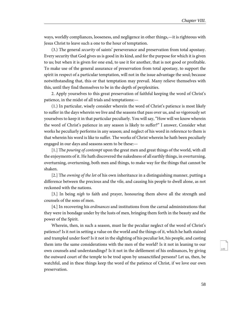ways, worldly compliances, looseness, and negligence in other things,—it is righteous with Jesus Christ to leave such a one to the hour of temptation.

(3.) The general security of saints' perseverance and preservation from total apostasy. Every security that God gives us is good in its kind, and for the purpose for which it is given to us; but when it is given for one end, to use it for another, that is not good or profitable. To make use of the general assurance of preservation from total apostasy, to support the spirit in respect of a particular temptation, will not in the issue advantage the soul; because notwithstanding that, this or that temptation may prevail. Many relieve themselves with this, until they find themselves to be in the depth of perplexities.

2. Apply yourselves to this great preservation of faithful keeping the word of Christ's patience, in the midst of all trials and temptations:—

(1.) In particular, wisely consider wherein the word of Christ's patience is most likely to suffer in the days wherein we live and the seasons that pass over us, and so vigorously set yourselves to keep it in that particular peculiarly. You will say, "How will we know wherein the word of Christ's patience in any season is likely to suffer?" I answer, Consider what works he peculiarly performs in any season; and neglect of his word in reference to them is that wherein his word is like to suffer. The works of Christ wherein he hath been peculiarly engaged in our days and seasons seem to be these:—

[1.] The pouring of contempt upon the great men and great things of the world, with all the enjoyments of it. He hath discovered the nakedness of all earthly things, in overturning, overturning, overturning, both men and things, to make way for the things that cannot be shaken.

[2.] The *owning of the lot* of his own inheritance in a distinguishing manner, putting a difference between the precious and the vile, and causing his people to dwell alone, as not reckoned with the nations.

[3.] In being nigh to faith and prayer, honouring them above all the strength and counsels of the sons of men.

<span id="page-61-0"></span>[4.] In recovering his ordinances and institutions from the carnal administrations that they were in bondage under by the lusts of men, bringing them forth in the beauty and the power of the Spirit.

Wherein, then, in such a season, must lie the peculiar neglect of the word of Christ's patience? Is it not in setting a value on the world and the things of it, which he hath stained and trampled under foot? Is it not in the slighting of his peculiar lot, his people, and casting them into the same considerations with the men of the world? Is it not in leaning to our own counsels and understandings? Is it not in the defilement of his ordinances, by giving the outward court of the temple to be trod upon by unsanctified persons? Let us, then, be watchful, and in these things keep the word of the patience of Christ, if we love our own preservation.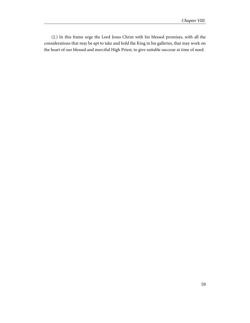(2.) In this frame urge the Lord Jesus Christ with his blessed promises, with all the considerations that may be apt to take and hold the King in his galleries, that may work on the heart of our blessed and merciful High Priest, to give suitable succour at time of need.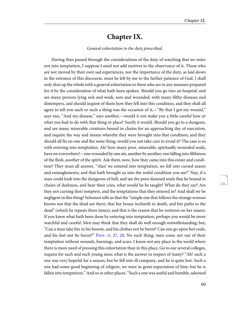## <span id="page-63-1"></span>**Chapter IX.**

#### General exhortation to the duty prescribed.

<span id="page-63-0"></span>Having thus passed through the considerations of the duty of watching that we enter not into temptation, I suppose I need not add motives to the observance of it. Those who are not moved by their own sad experiences, nor the importance of the duty, as laid down in the entrance of this discourse, must be left by me to the farther patience of God. I shall only shut up the whole with a general exhortation to them who are in any measure prepared for it by the consideration of what hath been spoken. Should you go into an hospital, and see many persons lying sick and weak, sore and wounded, with many filthy diseases and distempers, and should inquire of them how they fell into this condition, and they shall all agree to tell you such or such a thing was the occasion of it,—"By that I got my wound," says one, "And my disease," says another,—would it not make you a little careful how or what you had to do with that thing or place? Surely it would. Should you go to a dungeon, and see many miserable creatures bound in chains for an approaching day of execution, and inquire the way and means whereby they were brought into that condition, and they should all fix on one and the same thing, would you not take care to avoid it? The case is so with entering into temptation. Ah! how many poor, miserable, spiritually-wounded souls, have we everywhere!—one wounded by one sin, another by another; one falling into filthiness of the flesh, another of the spirit. Ask them, now, how they came into this estate and condition? They must all answer, "Alas! we entered into temptation, we fell into cursed snares and entanglements; and that hath brought us into the woful condition you see!" Nay, if a man could look into the dungeons of hell, and see the poor damned souls that lie bound in chains of darkness, and hear their cries, what would he be taught? What do they say? Are they not cursing their tempters, and the temptations that they entered in? And shall we be negligent in this thing? Solomon tells us that the "simple one that follows the strange woman knows not that the dead are there, that her house inclineth to death, and her paths to the dead" (which he repeats three times); and that is the reason that he ventures on her snares. If you knew what hath been done by entering into temptation, perhaps you would be more watchful and careful. Men may think that they shall do well enough notwithstanding; but, "Can a man take fire in his bosom, and his clothes not be burnt? Can one go upon hot coals, and his feet not be burnt?" [Prov. vi. 27, 28](http://www.ccel.org/study/Bible:Prov.6.27-Prov.6.28). No such thing; men come not out of their temptation without wounds, burnings, and scars. I know not any place in the world where there is more need of pressing this exhortation than in this place. Go to our several colleges, inquire for such and such young men; what is the answer in respect of many? "Ah! such a one was very hopeful for a season; but he fell into ill company, and he is quite lost. Such a one had some good beginning of religion, we were in great expectation of him; but he is fallen into temptation." And so in other places. "Such a one was useful and humble, adorned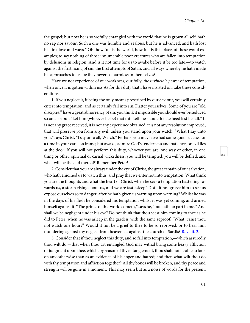the gospel; but now he is so wofully entangled with the world that he is grown all self, hath no sap nor savour. Such a one was humble and zealous; but he is advanced, and hath lost his first love and ways." Oh! how full is the world, how full is this place, of these woful examples; to say nothing of those innumerable poor creatures who are fallen into temptation by delusions in religion. And is it not time for us to awake before it be too late,—to watch against the first rising of sin, the first attempts of Satan, and all ways whereby he hath made his approaches to us, be they never so harmless in themselves?

Have we not experience of our weakness, our folly, the *invincible power* of temptation, when once it is gotten within us? As for this duty that I have insisted on, take these considerations:—

<span id="page-64-1"></span>1. If you neglect it, it being the only means prescribed by our Saviour, you will certainly enter into temptation, and as certainly fall into sin. Flatter yourselves. Some of you are "old disciples;" have a great abhorrency of sin; you think it impossible you should ever be seduced so and so; but, "Let him (whoever he be) that thinketh he standeth take heed lest he fall." It is not any grace received, it is not any experience obtained, it is not any resolution improved, that will preserve you from any evil, unless you stand upon your watch: "What I say unto you," says Christ, "I say unto all, Watch." Perhaps you may have had some good success for a time in your careless frame; but awake, admire God's tenderness and patience, or evil lies at the door. If you will not perform this duty, whoever you are, one way or other, in one thing or other, spiritual or carnal wickedness, you will be tempted, you will be defiled; and what will be the end thereof? Remember Peter!

2. Consider that you are always under the eye of Christ, the great captain of our salvation, who hath enjoined us to watch thus, and pray that we enter not into temptation. What think you are the thoughts and what the heart of Christ, when he sees a temptation hastening towards us, a storm rising about us, and we are fast asleep? Doth it not grieve him to see us expose ourselves so to danger, after he hath given us warning upon warning? Whilst he was in the days of his flesh he considered his temptation whilst it was yet coming, and armed himself against it. "The prince of this world cometh," says he, "but hath no part in me." And shall we be negligent under his eye? Do not think that thou seest him coming to thee as he did to Peter, when he was asleep in the garden, with the same reproof: "What! canst thou not watch one hour?" Would it not be a grief to thee to be so reproved, or to hear him thundering against thy neglect from heaven, as against the church of Sardis? [Rev. iii. 2.](http://www.ccel.org/study/Bible:Rev.3.2)

<span id="page-64-0"></span>3. Consider that if thou neglect this duty, and so fall into temptation,—which assuredly thou wilt do,—that when thou art entangled God may withal bring some heavy affliction or judgment upon thee, which, by reason of thy entanglement, thou shalt not be able to look on any otherwise than as an evidence of his anger and hatred; and then what wilt thou do with thy temptation and affliction together? All thy bones will be broken, and thy peace and strength will be gone in a moment. This may seem but as a noise of words for the present;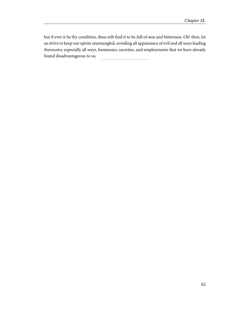but if ever it be thy condition, thou wilt find it to be full of woe and bitterness. Oh! then, let us strive to keep our spirits unentangled, avoiding all appearance of evil and all ways leading thereunto; especially all ways, businesses, societies, and employments that we have already found disadvantageous to us.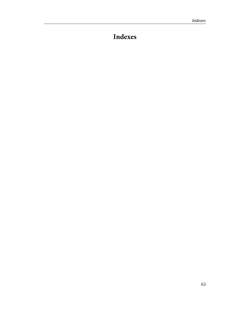# **Indexes**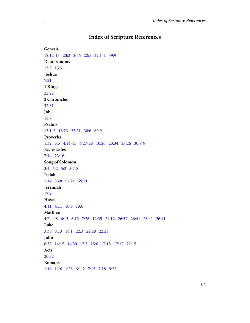## **Index of Scripture References**

**Genesis** [12:12-13](#page-20-0) [20:2](#page-20-0)   [20:6](#page-11-0)   [22:1](#page-10-0)   [22:1-2](#page-11-1)   [39:9](#page-48-0) **Deuteronomy** [13:3](#page-10-1) [13:3](#page-12-0) **Joshua** [7:21](#page-57-0) **1 Kings** [22:22](#page-26-0) **2 Chronicles** [32:31](#page-11-2) **Job** [18:7](#page-59-0) **Psalms** [13:1-2](#page-53-0)   [18:23](#page-46-0)   [25:21](#page-56-0)   [30:6](#page-42-0)   [69:9](#page-59-1) **Proverbs** [1:32](#page-42-1) [3:5](#page-59-2)   [4:14-15](#page-47-0) [6:27-28](#page-63-0)   [10:20](#page-21-0)   [23:34](#page-9-0)   [28:26](#page-22-0)   [30:8-9](#page-42-2) **Ecclesiastes** [7:14](#page-42-3) [23:16](#page-43-0) **Song of Solomon** [3:4](#page-58-0) [5:2](#page-37-0)   [5:2](#page-53-1) [5:2-8](#page-43-1) **Isaiah** [1:14](#page-56-1) [35:8](#page-40-0) [57:21](#page-56-2) [59:21](#page-56-3) **Jeremiah** [17:9](#page-22-1) **Hosea** [4:11](#page-22-2) [4:11](#page-25-0) [10:6](#page-59-3) [13:6](#page-42-4) **Matthew** [4:7](#page-30-0) [4:8](#page-12-1)   [6:13](#page-14-0)  [6:13](#page-18-0) [7:26](#page-19-0) [12:35](#page-48-1) [24:12](#page-26-1) [26:37](#page-9-1) [26:41](#page-6-0)   [26:41](#page-9-2)   [26:41](#page-38-0) **Luke** [3:38](#page-20-1) [8:13](#page-19-1) [18:1](#page-41-0) [22:3](#page-13-0)   [22:28](#page-14-1)   [22:28](#page-30-1) **John** [8:32](#page-54-0) [14:15](#page-54-1)  [14:30](#page-13-1)   [15:3](#page-53-2) [15:6](#page-23-0) [17:15](#page-39-0) [17:17](#page-53-3) [21:15](#page-45-0) **Acts** [20:32](#page-53-4) **Romans** [1:16](#page-52-0) [1:16](#page-53-5) [1:28](#page-26-2) [6:1-2](#page-31-0)   [7:15](#page-49-0)   [7:18](#page-10-2)  [9:22](#page-53-6)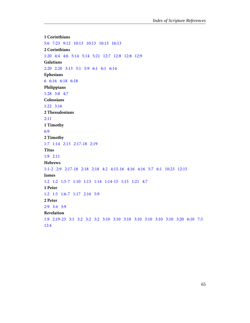```
1 Corinthians
5:6   7:23   9:12   10:13   10:13   10:13   16:13
2 Corinthians
1:20   4:4   4:6   5:14   5:14   5:21   12:7   12:8   12:8   12:9
Galatians
2:20   2:20   3:13   5:1   5:9   6:1   6:1   6:14
Ephesians
6   6:16   6:18   6:18
Philippians
1:28   3:8   4:7
Colossians
1:22   3:16
2 Thessalonians
2:11
1 Timothy
6:9
2 Timothy
1:7   1:14   2:13   2:17-18   2:19
Titus
1:9   2:11
Hebrews
1:1-2   2:9   2:17-18   2:18   2:18   4:2   4:15-16   4:16   4:16   5:7   6:1   10:23   12:15
James
1:2   1:2   1:5-7   1:10   1:13   1:14   1:14-15   1:15   1:21   4:7
1 Peter
1:2   1:5   1:6-7   1:17   2:16   5:9
2 Peter
2:9   3:4   3:9
Revelation
1:9   2:19-23   3:1   3:2   3:2   3:2   3:10   3:10   3:10   3:10   3:10   3:10   3:10   3:20   6:10   7:3  
12:4
```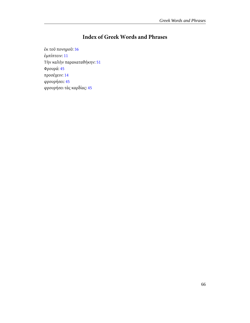## **Index of Greek Words and Phrases**

ἐκ τοῦ πονηροῦ: [36](#page-39-2) ἐμπίπτειν: [11](#page-14-3) Τὴν καλὴν παρακαταθήκην: [51](#page-54-4) Φρουρά: [45](#page-48-3) προσέχειν: [14](#page-17-2) φρουρήσει: [45](#page-48-5) φρουρήσει τὰς καρδίας: [45](#page-48-6)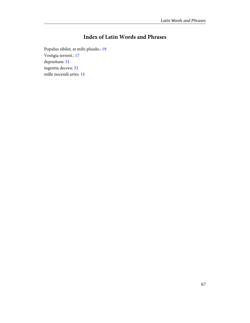## **Index of Latin Words and Phrases**

Populus sibilet, at mihi plaudo.: [19](#page-22-4) Vestigia terrent.: [17](#page-20-3) depositum: [51](#page-54-4) ingentia decora: [32](#page-35-0) mille nocendi artes: [14](#page-17-3)